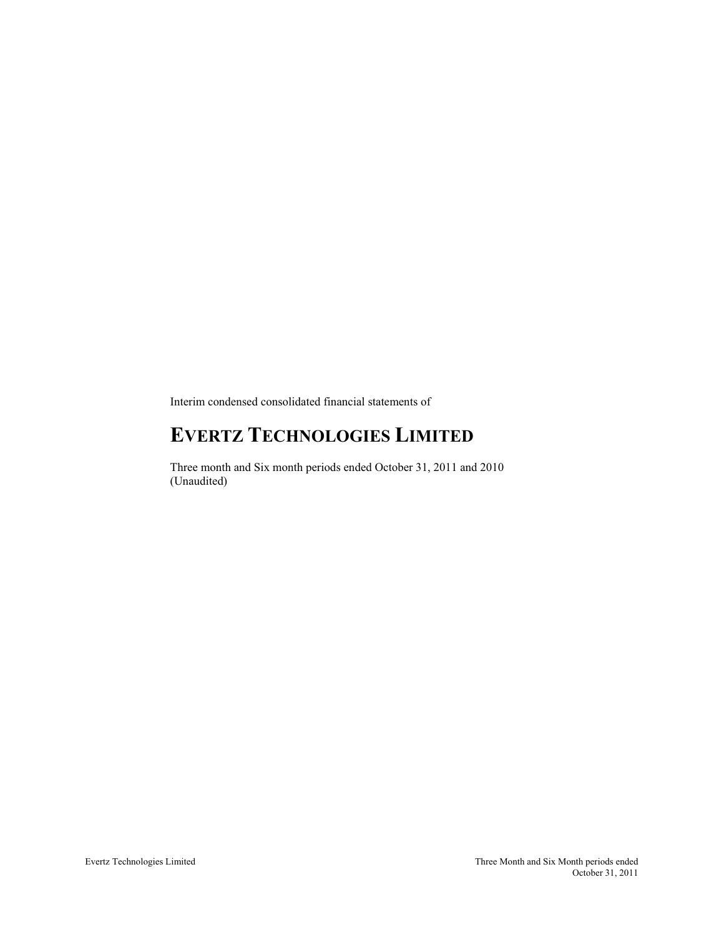Interim condensed consolidated financial statements of

# **EVERTZ TECHNOLOGIES LIMITED**

Three month and Six month periods ended October 31, 2011 and 2010 (Unaudited)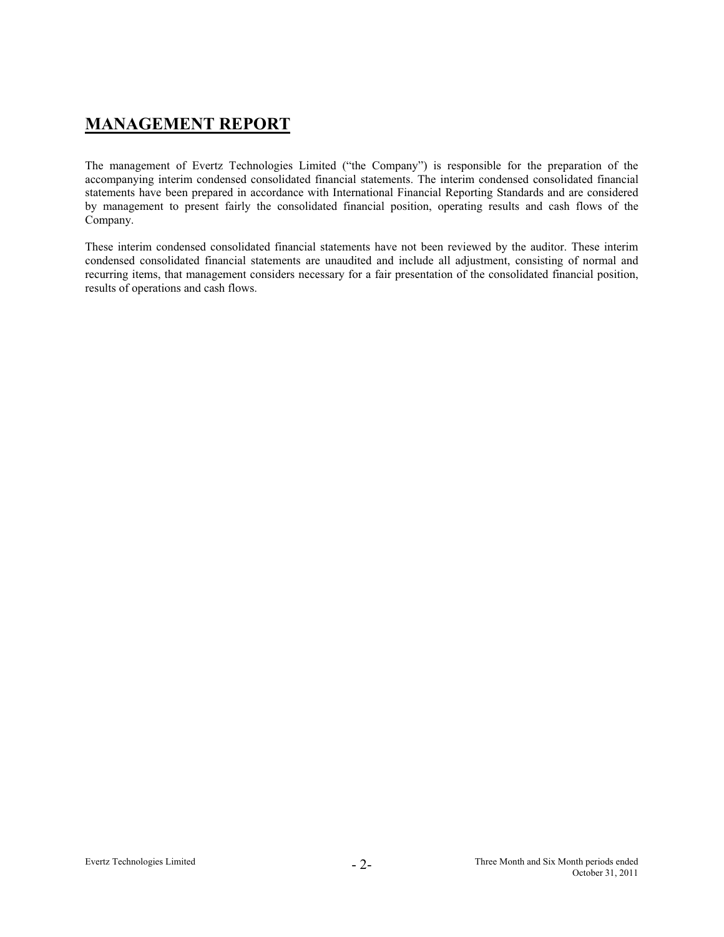# **MANAGEMENT REPORT**

The management of Evertz Technologies Limited ("the Company") is responsible for the preparation of the accompanying interim condensed consolidated financial statements. The interim condensed consolidated financial statements have been prepared in accordance with International Financial Reporting Standards and are considered by management to present fairly the consolidated financial position, operating results and cash flows of the Company.

These interim condensed consolidated financial statements have not been reviewed by the auditor. These interim condensed consolidated financial statements are unaudited and include all adjustment, consisting of normal and recurring items, that management considers necessary for a fair presentation of the consolidated financial position, results of operations and cash flows.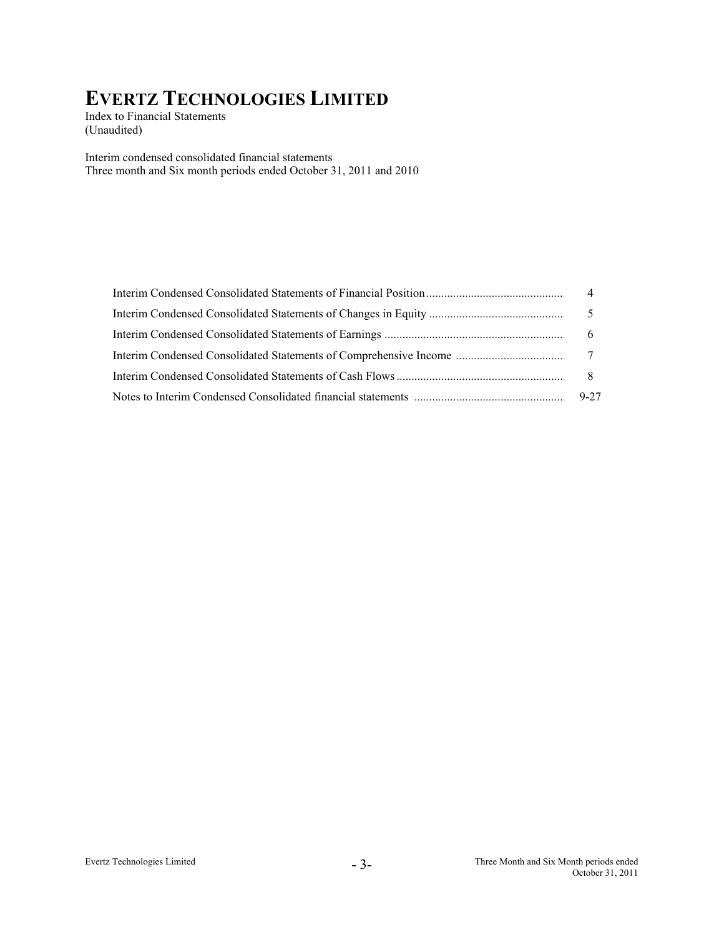Index to Financial Statements (Unaudited)

Interim condensed consolidated financial statements Three month and Six month periods ended October 31, 2011 and 2010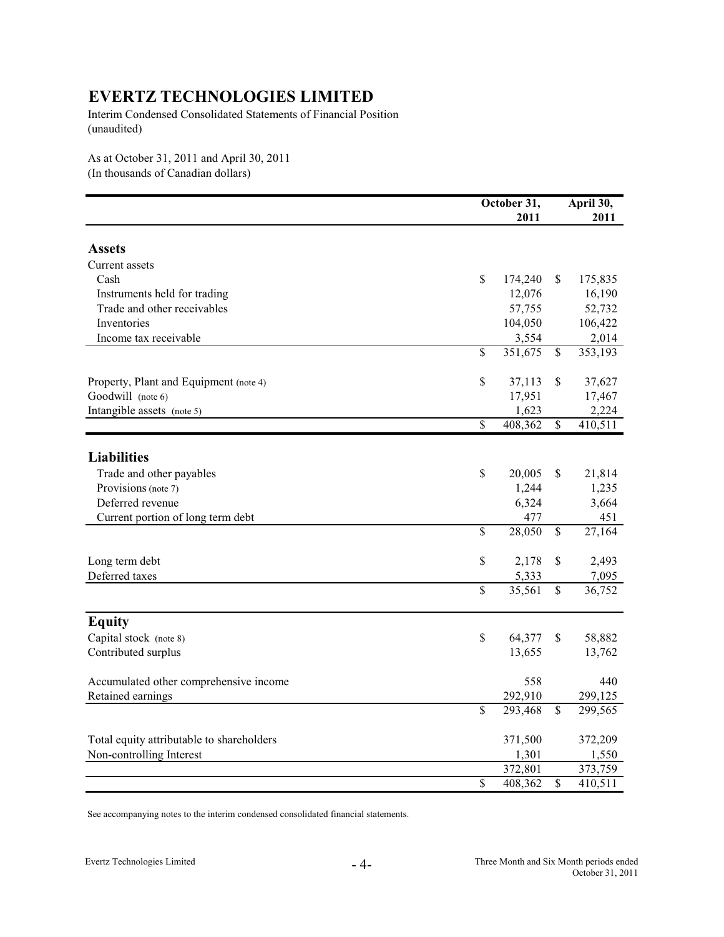Interim Condensed Consolidated Statements of Financial Position (unaudited)

As at October 31, 2011 and April 30, 2011 (In thousands of Canadian dollars)

|                                                             |                         | October 31,       |                          | April 30, |
|-------------------------------------------------------------|-------------------------|-------------------|--------------------------|-----------|
|                                                             |                         | 2011              |                          | 2011      |
| <b>Assets</b>                                               |                         |                   |                          |           |
|                                                             |                         |                   |                          |           |
| Current assets<br>Cash                                      | \$                      |                   |                          |           |
|                                                             |                         | 174,240<br>12,076 | S.                       | 175,835   |
| Instruments held for trading<br>Trade and other receivables |                         | 57,755            |                          | 16,190    |
|                                                             |                         |                   |                          | 52,732    |
| Inventories                                                 |                         | 104,050           |                          | 106,422   |
| Income tax receivable                                       |                         | 3,554             |                          | 2,014     |
|                                                             | \$                      | 351,675           | \$                       | 353,193   |
| Property, Plant and Equipment (note 4)                      | \$                      | 37,113            | $\mathbb{S}$             | 37,627    |
| Goodwill (note 6)                                           |                         | 17,951            |                          | 17,467    |
| Intangible assets (note 5)                                  |                         | 1,623             |                          | 2,224     |
|                                                             | \$                      | 408,362           | $\mathbb{S}$             | 410,511   |
|                                                             |                         |                   |                          |           |
| <b>Liabilities</b>                                          |                         |                   |                          |           |
| Trade and other payables                                    | \$                      | 20,005            | \$                       | 21,814    |
| Provisions (note 7)                                         |                         | 1,244             |                          | 1,235     |
| Deferred revenue                                            |                         | 6,324             |                          | 3,664     |
| Current portion of long term debt                           |                         | 477               |                          | 451       |
|                                                             | \$                      | 28,050            | $\mathbb{S}$             | 27,164    |
| Long term debt                                              | \$                      | 2,178             | \$                       | 2,493     |
| Deferred taxes                                              |                         | 5,333             |                          | 7,095     |
|                                                             | $\overline{\mathbb{S}}$ | 35,561            | $\mathbb{S}$             | 36,752    |
|                                                             |                         |                   |                          |           |
| <b>Equity</b>                                               | \$                      |                   |                          |           |
| Capital stock (note 8)                                      |                         | 64,377            | \$                       | 58,882    |
| Contributed surplus                                         |                         | 13,655            |                          | 13,762    |
| Accumulated other comprehensive income                      |                         | 558               |                          | 440       |
| Retained earnings                                           |                         | 292,910           |                          | 299,125   |
|                                                             | \$                      | 293,468           | \$                       | 299,565   |
| Total equity attributable to shareholders                   |                         | 371,500           |                          | 372,209   |
| Non-controlling Interest                                    |                         | 1,301             |                          | 1,550     |
|                                                             |                         | 372,801           |                          | 373,759   |
|                                                             | \$                      | 408,362           | $\overline{\mathcal{S}}$ | 410,511   |

See accompanying notes to the interim condensed consolidated financial statements.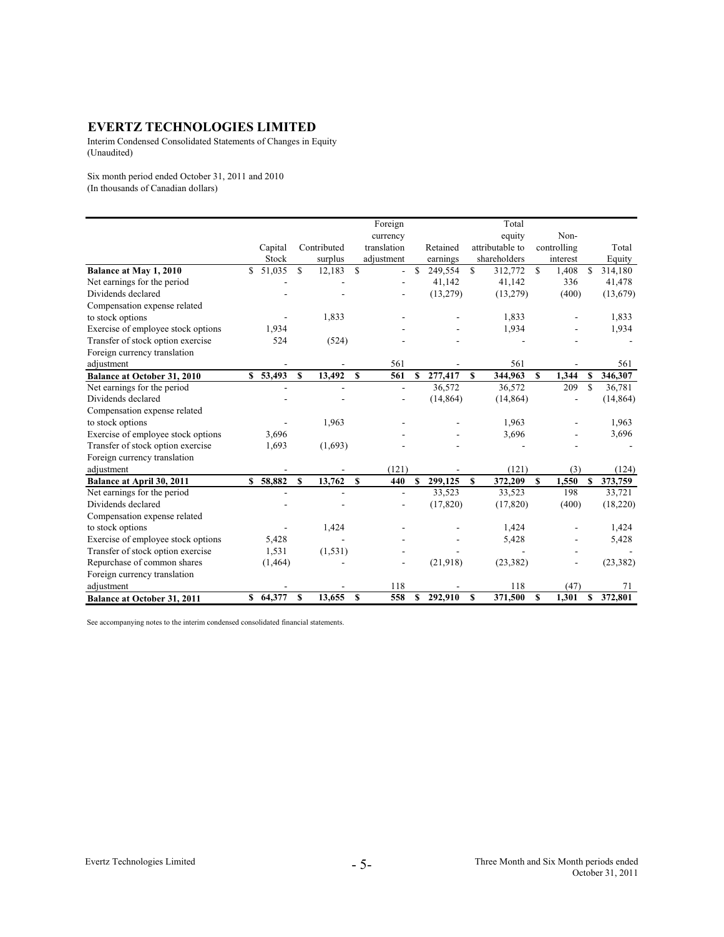Interim Condensed Consolidated Statements of Changes in Equity (Unaudited)

Six month period ended October 31, 2011 and 2010 (In thousands of Canadian dollars)

|                                    |   |          |              |             |              | Foreign        |              |           |              | Total           |              |             |                    |           |
|------------------------------------|---|----------|--------------|-------------|--------------|----------------|--------------|-----------|--------------|-----------------|--------------|-------------|--------------------|-----------|
|                                    |   |          |              |             |              | currency       |              |           |              | equity          |              | Non-        |                    |           |
|                                    |   | Capital  |              | Contributed |              | translation    |              | Retained  |              | attributable to |              | controlling |                    | Total     |
|                                    |   | Stock    |              | surplus     |              | adjustment     |              | earnings  |              | shareholders    |              | interest    |                    | Equity    |
| Balance at May 1, 2010             | S | 51,035   | S            | 12,183      | $\mathbf S$  | $\overline{a}$ | S            | 249,554   | \$           | 312,772         | S            | 1,408       | \$                 | 314,180   |
| Net earnings for the period        |   |          |              |             |              |                |              | 41,142    |              | 41,142          |              | 336         |                    | 41,478    |
| Dividends declared                 |   |          |              |             |              |                |              | (13, 279) |              | (13,279)        |              | (400)       |                    | (13,679)  |
| Compensation expense related       |   |          |              |             |              |                |              |           |              |                 |              |             |                    |           |
| to stock options                   |   |          |              | 1,833       |              |                |              |           |              | 1,833           |              |             |                    | 1,833     |
| Exercise of employee stock options |   | 1,934    |              |             |              |                |              |           |              | 1,934           |              |             |                    | 1,934     |
| Transfer of stock option exercise  |   | 524      |              | (524)       |              |                |              |           |              |                 |              |             |                    |           |
| Foreign currency translation       |   |          |              |             |              |                |              |           |              |                 |              |             |                    |           |
| adjustment                         |   |          |              |             |              | 561            |              |           |              | 561             |              |             |                    | 561       |
| <b>Balance at October 31, 2010</b> |   | \$53,493 | $\mathbf{s}$ | 13,492      | $\mathbf{s}$ | 561            | $\mathbf{s}$ | 277,417   | $\mathbf{s}$ | 344,963         | $\mathbf{s}$ | 1,344       | \$                 | 346,307   |
| Net earnings for the period        |   |          |              |             |              |                |              | 36,572    |              | 36,572          |              | 209         | $\mathbf{\hat{S}}$ | 36,781    |
| Dividends declared                 |   |          |              |             |              |                |              | (14, 864) |              | (14, 864)       |              |             |                    | (14, 864) |
| Compensation expense related       |   |          |              |             |              |                |              |           |              |                 |              |             |                    |           |
| to stock options                   |   |          |              | 1,963       |              |                |              |           |              | 1,963           |              |             |                    | 1,963     |
| Exercise of employee stock options |   | 3,696    |              |             |              |                |              |           |              | 3,696           |              |             |                    | 3,696     |
| Transfer of stock option exercise  |   | 1,693    |              | (1,693)     |              |                |              |           |              |                 |              |             |                    |           |
| Foreign currency translation       |   |          |              |             |              |                |              |           |              |                 |              |             |                    |           |
| adjustment                         |   |          |              |             |              | (121)          |              |           |              | (121)           |              | (3)         |                    | (124)     |
| Balance at April 30, 2011          |   | \$58,882 | $\mathbf S$  | 13,762      | $\mathbf{s}$ | 440            | $\mathbf{s}$ | 299,125   | \$           | 372,209         | $\mathbf{s}$ | 1,550       | S                  | 373,759   |
| Net earnings for the period        |   |          |              |             |              | L,             |              | 33,523    |              | 33,523          |              | 198         |                    | 33,721    |
| Dividends declared                 |   |          |              |             |              |                |              | (17, 820) |              | (17, 820)       |              | (400)       |                    | (18,220)  |
| Compensation expense related       |   |          |              |             |              |                |              |           |              |                 |              |             |                    |           |
| to stock options                   |   |          |              | 1,424       |              |                |              |           |              | 1,424           |              |             |                    | 1,424     |
| Exercise of employee stock options |   | 5,428    |              |             |              |                |              |           |              | 5,428           |              |             |                    | 5,428     |
| Transfer of stock option exercise  |   | 1,531    |              | (1, 531)    |              |                |              |           |              |                 |              |             |                    |           |
| Repurchase of common shares        |   | (1, 464) |              |             |              |                |              | (21,918)  |              | (23, 382)       |              |             |                    | (23, 382) |
| Foreign currency translation       |   |          |              |             |              |                |              |           |              |                 |              |             |                    |           |
| adjustment                         |   |          |              |             |              | 118            |              |           |              | 118             |              | (47)        |                    | 71        |
| <b>Balance at October 31, 2011</b> |   | \$64,377 | \$           | 13,655      | \$           | 558            | \$           | 292,910   | \$           | 371,500         | S            | 1,301       | \$                 | 372,801   |

See accompanying notes to the interim condensed consolidated financial statements.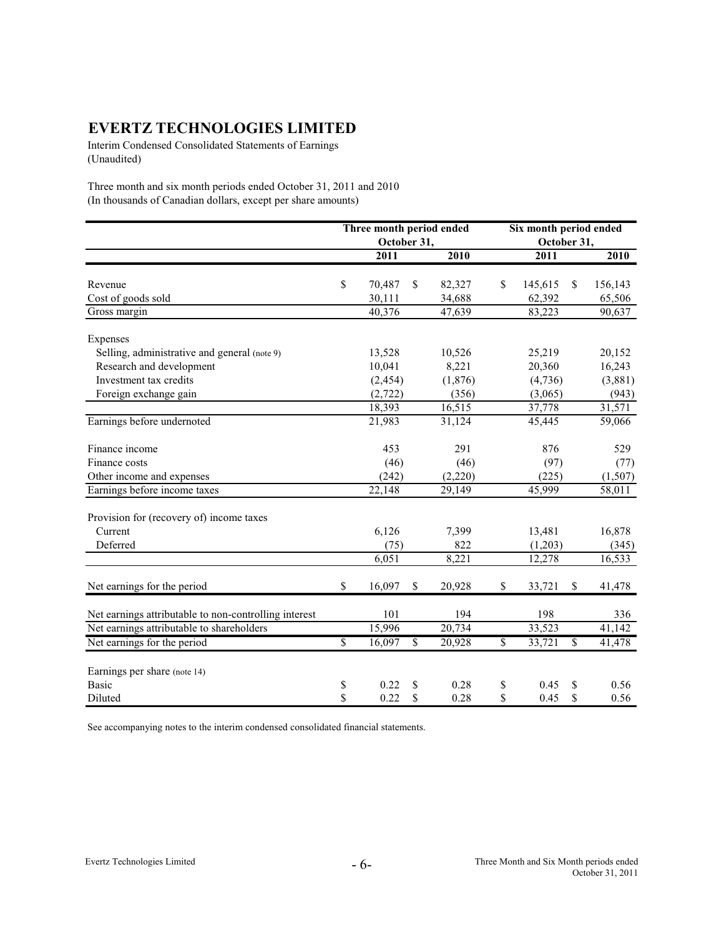Interim Condensed Consolidated Statements of Earnings (Unaudited)

Three month and six month periods ended October 31, 2011 and 2010 (In thousands of Canadian dollars, except per share amounts)

|                                                       | Three month period ended |               |          |    | Six month period ended |              |         |  |  |  |
|-------------------------------------------------------|--------------------------|---------------|----------|----|------------------------|--------------|---------|--|--|--|
|                                                       | October 31,              |               |          |    | October 31,            |              |         |  |  |  |
|                                                       | 2011                     |               | 2010     |    | 2011                   |              | 2010    |  |  |  |
| Revenue                                               | \$<br>70,487             | <sup>\$</sup> | 82,327   | \$ | 145,615                | $\mathbb{S}$ | 156,143 |  |  |  |
| Cost of goods sold                                    | 30,111                   |               | 34,688   |    | 62,392                 |              | 65,506  |  |  |  |
| Gross margin                                          | 40,376                   |               | 47,639   |    | 83,223                 |              | 90,637  |  |  |  |
|                                                       |                          |               |          |    |                        |              |         |  |  |  |
| Expenses                                              |                          |               |          |    |                        |              |         |  |  |  |
| Selling, administrative and general (note 9)          | 13,528                   |               | 10,526   |    | 25,219                 |              | 20,152  |  |  |  |
| Research and development                              | 10,041                   |               | 8,221    |    | 20,360                 |              | 16,243  |  |  |  |
| Investment tax credits                                | (2, 454)                 |               | (1, 876) |    | (4,736)                |              | (3,881) |  |  |  |
| Foreign exchange gain                                 | (2, 722)                 |               | (356)    |    | (3,065)                |              | (943)   |  |  |  |
|                                                       | 18,393                   |               | 16,515   |    | 37,778                 |              | 31,571  |  |  |  |
| Earnings before undernoted                            | 21,983                   |               | 31,124   |    | 45,445                 |              | 59,066  |  |  |  |
| Finance income                                        | 453                      |               | 291      |    | 876                    |              | 529     |  |  |  |
| Finance costs                                         | (46)                     |               | (46)     |    | (97)                   |              | (77)    |  |  |  |
| Other income and expenses                             | (242)                    |               | (2,220)  |    | (225)                  |              | (1,507) |  |  |  |
| Earnings before income taxes                          | 22,148                   |               | 29,149   |    | 45,999                 |              | 58,011  |  |  |  |
| Provision for (recovery of) income taxes              |                          |               |          |    |                        |              |         |  |  |  |
| Current                                               | 6,126                    |               | 7,399    |    | 13,481                 |              | 16,878  |  |  |  |
| Deferred                                              | (75)                     |               | 822      |    | (1,203)                |              | (345)   |  |  |  |
|                                                       | 6,051                    |               | 8,221    |    | 12,278                 |              | 16,533  |  |  |  |
| Net earnings for the period                           | \$<br>16,097             | \$            | 20,928   | \$ | 33,721                 | \$           | 41,478  |  |  |  |
| Net earnings attributable to non-controlling interest | 101                      |               | 194      |    | 198                    |              | 336     |  |  |  |
| Net earnings attributable to shareholders             | 15,996                   |               | 20,734   |    | 33,523                 |              | 41,142  |  |  |  |
| Net earnings for the period                           | \$<br>16,097             | \$            | 20,928   | \$ | 33,721                 | \$           | 41,478  |  |  |  |
| Earnings per share (note 14)                          |                          |               |          |    |                        |              |         |  |  |  |
| <b>Basic</b>                                          | \$<br>0.22               | \$            | 0.28     | \$ | 0.45                   | \$           | 0.56    |  |  |  |
| Diluted                                               | \$<br>0.22               | \$            | 0.28     | \$ | 0.45                   | $\mathbb{S}$ | 0.56    |  |  |  |

See accompanying notes to the interim condensed consolidated financial statements.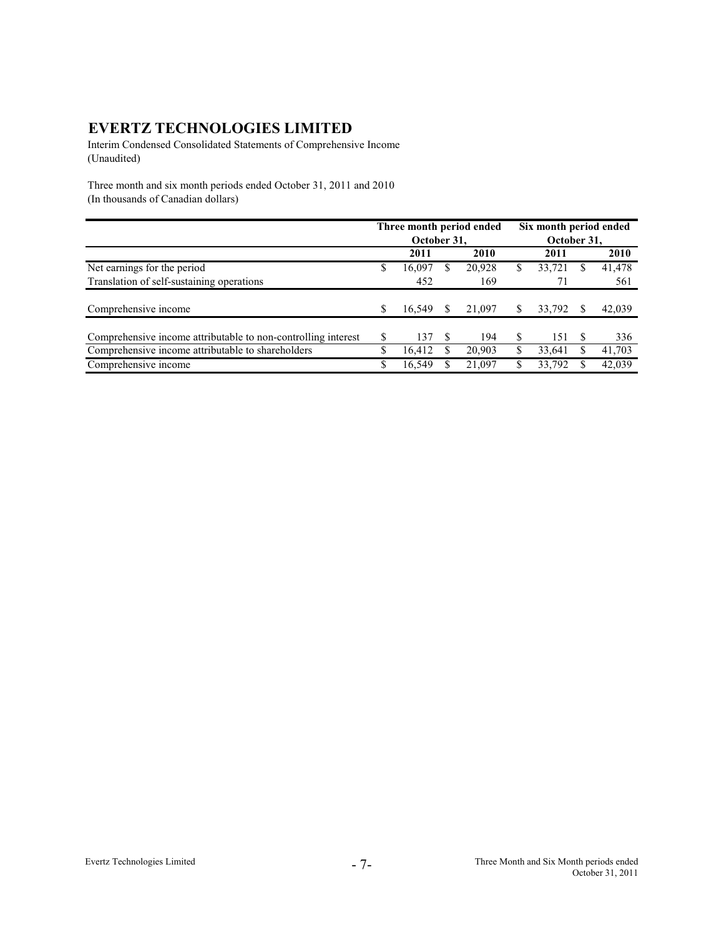Interim Condensed Consolidated Statements of Comprehensive Income (Unaudited)

Three month and six month periods ended October 31, 2011 and 2010 (In thousands of Canadian dollars)

|                                                               |    |             | Three month period ended | Six month period ended |             |     |        |  |
|---------------------------------------------------------------|----|-------------|--------------------------|------------------------|-------------|-----|--------|--|
|                                                               |    | October 31, |                          |                        | October 31, |     |        |  |
|                                                               |    | 2011        | 2010                     |                        | 2011        |     | 2010   |  |
| Net earnings for the period                                   | S  | 16.097      | 20,928                   | S                      | 33,721      | S   | 41,478 |  |
| Translation of self-sustaining operations                     |    | 452         | 169                      |                        | 71          |     | 561    |  |
|                                                               |    |             |                          |                        |             |     |        |  |
| Comprehensive income                                          |    | 16.549      | 21,097                   | S                      | 33,792      |     | 42,039 |  |
| Comprehensive income attributable to non-controlling interest | \$ | 137         | 194                      | \$.                    | 151         | \$. | 336    |  |
| Comprehensive income attributable to shareholders             | S  | 16,412      | 20,903                   | S                      | 33,641      |     | 41,703 |  |
| Comprehensive income                                          | \$ | 16.549      | 21.097                   |                        | 33.792      |     | 42,039 |  |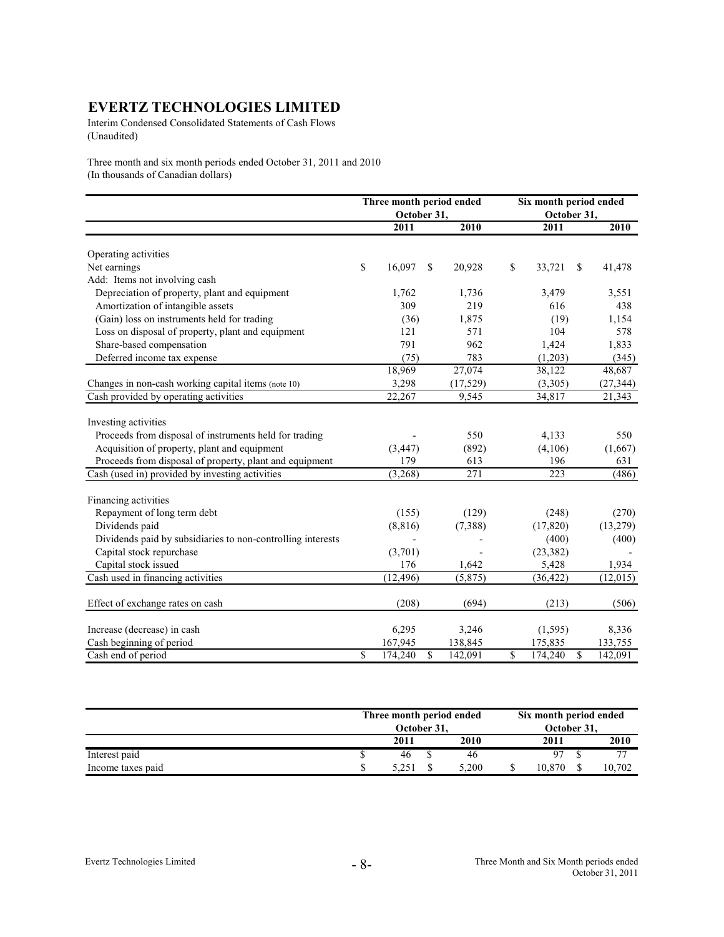Interim Condensed Consolidated Statements of Cash Flows (Unaudited)

Three month and six month periods ended October 31, 2011 and 2010 (In thousands of Canadian dollars)

|                                                             |              | Three month period ended<br>October 31, |              |           | Six month period ended<br>October 31, |    |           |
|-------------------------------------------------------------|--------------|-----------------------------------------|--------------|-----------|---------------------------------------|----|-----------|
|                                                             |              | 2011                                    |              | 2010      | 2011                                  |    | 2010      |
| Operating activities                                        |              |                                         |              |           |                                       |    |           |
| Net earnings                                                | \$           | 16,097                                  | $\mathbb{S}$ | 20,928    | \$<br>33,721                          | \$ | 41,478    |
| Add: Items not involving cash                               |              |                                         |              |           |                                       |    |           |
| Depreciation of property, plant and equipment               |              | 1,762                                   |              | 1,736     | 3,479                                 |    | 3,551     |
| Amortization of intangible assets                           |              | 309                                     |              | 219       | 616                                   |    | 438       |
| (Gain) loss on instruments held for trading                 |              | (36)                                    |              | 1,875     | (19)                                  |    | 1,154     |
| Loss on disposal of property, plant and equipment           |              | 121                                     |              | 571       | 104                                   |    | 578       |
| Share-based compensation                                    |              | 791                                     |              | 962       | 1,424                                 |    | 1,833     |
| Deferred income tax expense                                 |              | (75)                                    |              | 783       | (1,203)                               |    | (345)     |
|                                                             |              | 18,969                                  |              | 27,074    | 38,122                                |    | 48,687    |
| Changes in non-cash working capital items (note 10)         |              | 3,298                                   |              | (17, 529) | (3,305)                               |    | (27, 344) |
| Cash provided by operating activities                       |              | 22,267                                  |              | 9,545     | 34,817                                |    | 21,343    |
| Investing activities                                        |              |                                         |              |           |                                       |    |           |
| Proceeds from disposal of instruments held for trading      |              |                                         |              | 550       | 4,133                                 |    | 550       |
| Acquisition of property, plant and equipment                |              | (3, 447)                                |              | (892)     | (4,106)                               |    | (1,667)   |
| Proceeds from disposal of property, plant and equipment     |              | 179                                     |              | 613       | 196                                   |    | 631       |
| Cash (used in) provided by investing activities             |              | (3,268)                                 |              | 271       | 223                                   |    | (486)     |
| Financing activities                                        |              |                                         |              |           |                                       |    |           |
| Repayment of long term debt                                 |              | (155)                                   |              | (129)     | (248)                                 |    | (270)     |
| Dividends paid                                              |              | (8, 816)                                |              | (7,388)   | (17, 820)                             |    | (13, 279) |
| Dividends paid by subsidiaries to non-controlling interests |              |                                         |              |           | (400)                                 |    | (400)     |
| Capital stock repurchase                                    |              | (3,701)                                 |              |           | (23, 382)                             |    |           |
| Capital stock issued                                        |              | 176                                     |              | 1,642     | 5,428                                 |    | 1,934     |
| Cash used in financing activities                           |              | (12, 496)                               |              | (5, 875)  | (36, 422)                             |    | (12,015)  |
| Effect of exchange rates on cash                            |              | (208)                                   |              | (694)     | (213)                                 |    | (506)     |
| Increase (decrease) in cash                                 |              | 6,295                                   |              | 3,246     | (1, 595)                              |    | 8,336     |
| Cash beginning of period                                    |              | 167,945                                 |              | 138,845   | 175,835                               |    | 133,755   |
| Cash end of period                                          | $\mathbb{S}$ | 174.240                                 | $\mathbb{S}$ | 142,091   | \$<br>174,240                         | \$ | 142,091   |

|                   | Three month period ended<br>October 31. |       | Six month period ended<br>October 31, |                |
|-------------------|-----------------------------------------|-------|---------------------------------------|----------------|
|                   | 2011                                    | 2010  | 2011                                  | 2010           |
| Interest paid     | 46                                      | 46    | 07                                    | $\overline{ }$ |
| Income taxes paid |                                         | 5.200 | 10.870.                               | 10.702         |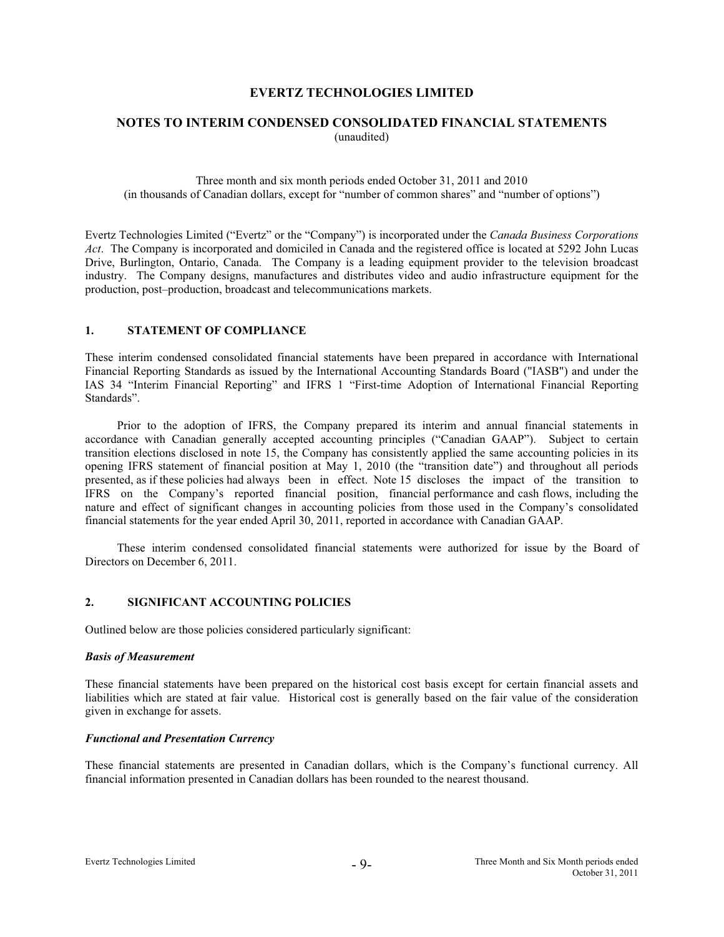# **NOTES TO INTERIM CONDENSED CONSOLIDATED FINANCIAL STATEMENTS**  (unaudited)

Three month and six month periods ended October 31, 2011 and 2010 (in thousands of Canadian dollars, except for "number of common shares" and "number of options")

Evertz Technologies Limited ("Evertz" or the "Company") is incorporated under the *Canada Business Corporations Act*. The Company is incorporated and domiciled in Canada and the registered office is located at 5292 John Lucas Drive, Burlington, Ontario, Canada. The Company is a leading equipment provider to the television broadcast industry. The Company designs, manufactures and distributes video and audio infrastructure equipment for the production, post–production, broadcast and telecommunications markets.

# **1. STATEMENT OF COMPLIANCE**

These interim condensed consolidated financial statements have been prepared in accordance with International Financial Reporting Standards as issued by the International Accounting Standards Board ("IASB") and under the IAS 34 "Interim Financial Reporting" and IFRS 1 "First-time Adoption of International Financial Reporting Standards".

 Prior to the adoption of IFRS, the Company prepared its interim and annual financial statements in accordance with Canadian generally accepted accounting principles ("Canadian GAAP"). Subject to certain transition elections disclosed in note 15, the Company has consistently applied the same accounting policies in its opening IFRS statement of financial position at May 1, 2010 (the "transition date") and throughout all periods presented, as if these policies had always been in effect. Note 15 discloses the impact of the transition to IFRS on the Company's reported financial position, financial performance and cash flows, including the nature and effect of significant changes in accounting policies from those used in the Company's consolidated financial statements for the year ended April 30, 2011, reported in accordance with Canadian GAAP.

 These interim condensed consolidated financial statements were authorized for issue by the Board of Directors on December 6, 2011.

#### **2. SIGNIFICANT ACCOUNTING POLICIES**

Outlined below are those policies considered particularly significant:

## *Basis of Measurement*

These financial statements have been prepared on the historical cost basis except for certain financial assets and liabilities which are stated at fair value. Historical cost is generally based on the fair value of the consideration given in exchange for assets.

#### *Functional and Presentation Currency*

These financial statements are presented in Canadian dollars, which is the Company's functional currency. All financial information presented in Canadian dollars has been rounded to the nearest thousand.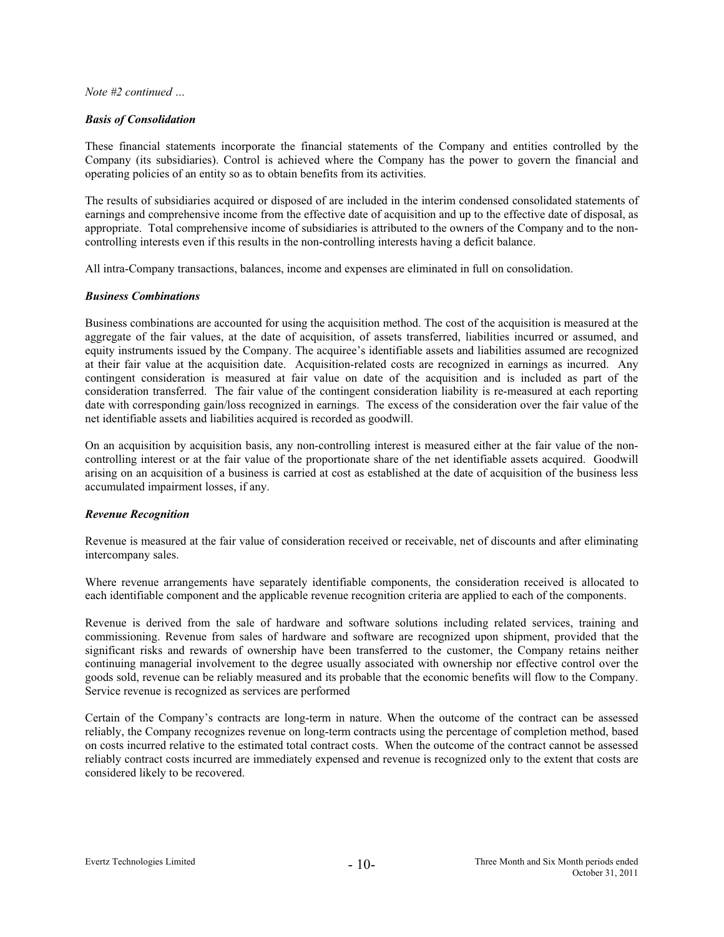## *Basis of Consolidation*

These financial statements incorporate the financial statements of the Company and entities controlled by the Company (its subsidiaries). Control is achieved where the Company has the power to govern the financial and operating policies of an entity so as to obtain benefits from its activities.

The results of subsidiaries acquired or disposed of are included in the interim condensed consolidated statements of earnings and comprehensive income from the effective date of acquisition and up to the effective date of disposal, as appropriate. Total comprehensive income of subsidiaries is attributed to the owners of the Company and to the noncontrolling interests even if this results in the non-controlling interests having a deficit balance.

All intra-Company transactions, balances, income and expenses are eliminated in full on consolidation.

# *Business Combinations*

Business combinations are accounted for using the acquisition method. The cost of the acquisition is measured at the aggregate of the fair values, at the date of acquisition, of assets transferred, liabilities incurred or assumed, and equity instruments issued by the Company. The acquiree's identifiable assets and liabilities assumed are recognized at their fair value at the acquisition date. Acquisition-related costs are recognized in earnings as incurred. Any contingent consideration is measured at fair value on date of the acquisition and is included as part of the consideration transferred. The fair value of the contingent consideration liability is re-measured at each reporting date with corresponding gain/loss recognized in earnings. The excess of the consideration over the fair value of the net identifiable assets and liabilities acquired is recorded as goodwill.

On an acquisition by acquisition basis, any non-controlling interest is measured either at the fair value of the noncontrolling interest or at the fair value of the proportionate share of the net identifiable assets acquired. Goodwill arising on an acquisition of a business is carried at cost as established at the date of acquisition of the business less accumulated impairment losses, if any.

# *Revenue Recognition*

Revenue is measured at the fair value of consideration received or receivable, net of discounts and after eliminating intercompany sales.

Where revenue arrangements have separately identifiable components, the consideration received is allocated to each identifiable component and the applicable revenue recognition criteria are applied to each of the components.

Revenue is derived from the sale of hardware and software solutions including related services, training and commissioning. Revenue from sales of hardware and software are recognized upon shipment, provided that the significant risks and rewards of ownership have been transferred to the customer, the Company retains neither continuing managerial involvement to the degree usually associated with ownership nor effective control over the goods sold, revenue can be reliably measured and its probable that the economic benefits will flow to the Company. Service revenue is recognized as services are performed

Certain of the Company's contracts are long-term in nature. When the outcome of the contract can be assessed reliably, the Company recognizes revenue on long-term contracts using the percentage of completion method, based on costs incurred relative to the estimated total contract costs. When the outcome of the contract cannot be assessed reliably contract costs incurred are immediately expensed and revenue is recognized only to the extent that costs are considered likely to be recovered.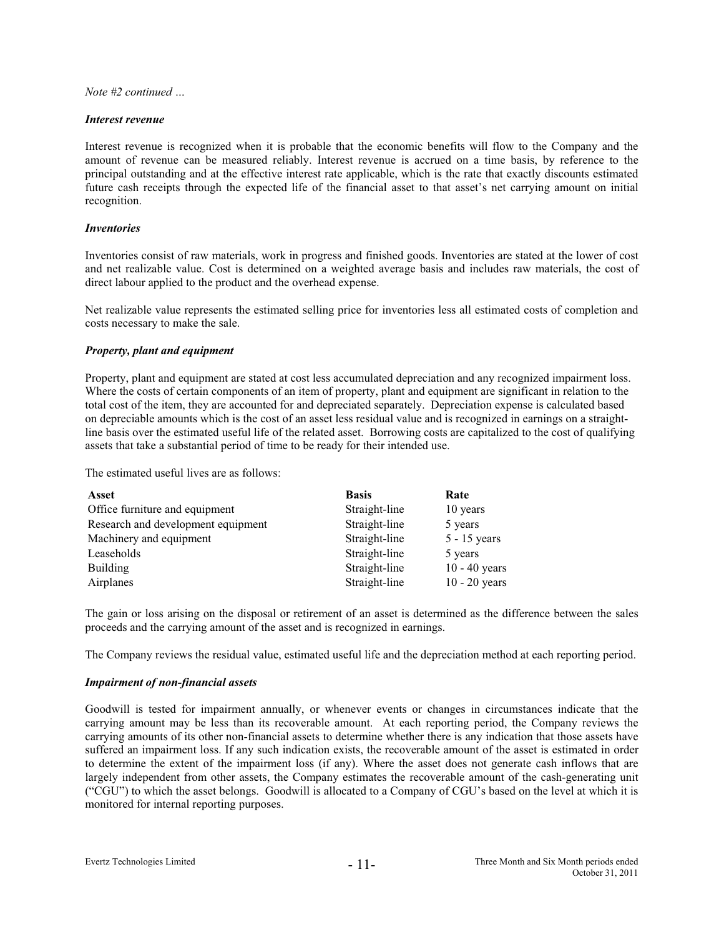#### *Interest revenue*

Interest revenue is recognized when it is probable that the economic benefits will flow to the Company and the amount of revenue can be measured reliably. Interest revenue is accrued on a time basis, by reference to the principal outstanding and at the effective interest rate applicable, which is the rate that exactly discounts estimated future cash receipts through the expected life of the financial asset to that asset's net carrying amount on initial recognition.

## *Inventories*

Inventories consist of raw materials, work in progress and finished goods. Inventories are stated at the lower of cost and net realizable value. Cost is determined on a weighted average basis and includes raw materials, the cost of direct labour applied to the product and the overhead expense.

Net realizable value represents the estimated selling price for inventories less all estimated costs of completion and costs necessary to make the sale.

# *Property, plant and equipment*

Property, plant and equipment are stated at cost less accumulated depreciation and any recognized impairment loss. Where the costs of certain components of an item of property, plant and equipment are significant in relation to the total cost of the item, they are accounted for and depreciated separately. Depreciation expense is calculated based on depreciable amounts which is the cost of an asset less residual value and is recognized in earnings on a straightline basis over the estimated useful life of the related asset. Borrowing costs are capitalized to the cost of qualifying assets that take a substantial period of time to be ready for their intended use.

The estimated useful lives are as follows:

| Asset                              | <b>Basis</b>  | Rate            |
|------------------------------------|---------------|-----------------|
| Office furniture and equipment     | Straight-line | 10 years        |
| Research and development equipment | Straight-line | 5 years         |
| Machinery and equipment            | Straight-line | $5 - 15$ years  |
| Leaseholds                         | Straight-line | 5 years         |
| <b>Building</b>                    | Straight-line | $10 - 40$ years |
| Airplanes                          | Straight-line | $10 - 20$ years |

The gain or loss arising on the disposal or retirement of an asset is determined as the difference between the sales proceeds and the carrying amount of the asset and is recognized in earnings.

The Company reviews the residual value, estimated useful life and the depreciation method at each reporting period.

### *Impairment of non-financial assets*

Goodwill is tested for impairment annually, or whenever events or changes in circumstances indicate that the carrying amount may be less than its recoverable amount. At each reporting period, the Company reviews the carrying amounts of its other non-financial assets to determine whether there is any indication that those assets have suffered an impairment loss. If any such indication exists, the recoverable amount of the asset is estimated in order to determine the extent of the impairment loss (if any). Where the asset does not generate cash inflows that are largely independent from other assets, the Company estimates the recoverable amount of the cash-generating unit ("CGU") to which the asset belongs. Goodwill is allocated to a Company of CGU's based on the level at which it is monitored for internal reporting purposes.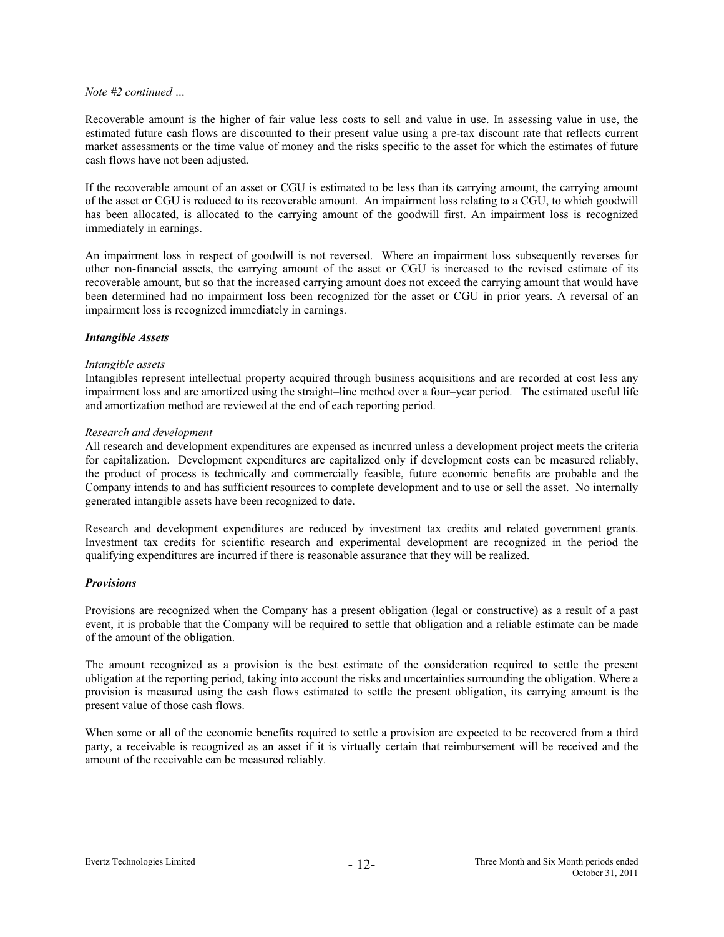Recoverable amount is the higher of fair value less costs to sell and value in use. In assessing value in use, the estimated future cash flows are discounted to their present value using a pre-tax discount rate that reflects current market assessments or the time value of money and the risks specific to the asset for which the estimates of future cash flows have not been adjusted.

If the recoverable amount of an asset or CGU is estimated to be less than its carrying amount, the carrying amount of the asset or CGU is reduced to its recoverable amount. An impairment loss relating to a CGU, to which goodwill has been allocated, is allocated to the carrying amount of the goodwill first. An impairment loss is recognized immediately in earnings.

An impairment loss in respect of goodwill is not reversed. Where an impairment loss subsequently reverses for other non-financial assets, the carrying amount of the asset or CGU is increased to the revised estimate of its recoverable amount, but so that the increased carrying amount does not exceed the carrying amount that would have been determined had no impairment loss been recognized for the asset or CGU in prior years. A reversal of an impairment loss is recognized immediately in earnings.

#### *Intangible Assets*

#### *Intangible assets*

Intangibles represent intellectual property acquired through business acquisitions and are recorded at cost less any impairment loss and are amortized using the straight–line method over a four–year period. The estimated useful life and amortization method are reviewed at the end of each reporting period.

# *Research and development*

All research and development expenditures are expensed as incurred unless a development project meets the criteria for capitalization. Development expenditures are capitalized only if development costs can be measured reliably, the product of process is technically and commercially feasible, future economic benefits are probable and the Company intends to and has sufficient resources to complete development and to use or sell the asset. No internally generated intangible assets have been recognized to date.

Research and development expenditures are reduced by investment tax credits and related government grants. Investment tax credits for scientific research and experimental development are recognized in the period the qualifying expenditures are incurred if there is reasonable assurance that they will be realized.

#### *Provisions*

Provisions are recognized when the Company has a present obligation (legal or constructive) as a result of a past event, it is probable that the Company will be required to settle that obligation and a reliable estimate can be made of the amount of the obligation.

The amount recognized as a provision is the best estimate of the consideration required to settle the present obligation at the reporting period, taking into account the risks and uncertainties surrounding the obligation. Where a provision is measured using the cash flows estimated to settle the present obligation, its carrying amount is the present value of those cash flows.

When some or all of the economic benefits required to settle a provision are expected to be recovered from a third party, a receivable is recognized as an asset if it is virtually certain that reimbursement will be received and the amount of the receivable can be measured reliably.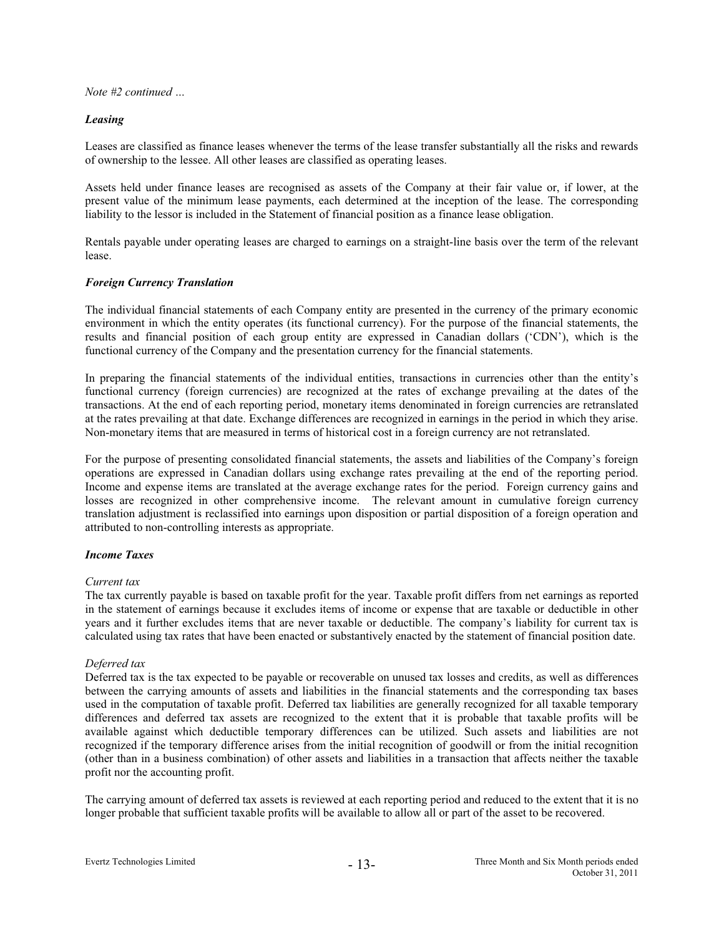# *Leasing*

Leases are classified as finance leases whenever the terms of the lease transfer substantially all the risks and rewards of ownership to the lessee. All other leases are classified as operating leases.

Assets held under finance leases are recognised as assets of the Company at their fair value or, if lower, at the present value of the minimum lease payments, each determined at the inception of the lease. The corresponding liability to the lessor is included in the Statement of financial position as a finance lease obligation.

Rentals payable under operating leases are charged to earnings on a straight-line basis over the term of the relevant lease.

# *Foreign Currency Translation*

The individual financial statements of each Company entity are presented in the currency of the primary economic environment in which the entity operates (its functional currency). For the purpose of the financial statements, the results and financial position of each group entity are expressed in Canadian dollars ('CDN'), which is the functional currency of the Company and the presentation currency for the financial statements.

In preparing the financial statements of the individual entities, transactions in currencies other than the entity's functional currency (foreign currencies) are recognized at the rates of exchange prevailing at the dates of the transactions. At the end of each reporting period, monetary items denominated in foreign currencies are retranslated at the rates prevailing at that date. Exchange differences are recognized in earnings in the period in which they arise. Non-monetary items that are measured in terms of historical cost in a foreign currency are not retranslated.

For the purpose of presenting consolidated financial statements, the assets and liabilities of the Company's foreign operations are expressed in Canadian dollars using exchange rates prevailing at the end of the reporting period. Income and expense items are translated at the average exchange rates for the period. Foreign currency gains and losses are recognized in other comprehensive income. The relevant amount in cumulative foreign currency translation adjustment is reclassified into earnings upon disposition or partial disposition of a foreign operation and attributed to non-controlling interests as appropriate.

## *Income Taxes*

#### *Current tax*

The tax currently payable is based on taxable profit for the year. Taxable profit differs from net earnings as reported in the statement of earnings because it excludes items of income or expense that are taxable or deductible in other years and it further excludes items that are never taxable or deductible. The company's liability for current tax is calculated using tax rates that have been enacted or substantively enacted by the statement of financial position date.

# *Deferred tax*

Deferred tax is the tax expected to be payable or recoverable on unused tax losses and credits, as well as differences between the carrying amounts of assets and liabilities in the financial statements and the corresponding tax bases used in the computation of taxable profit. Deferred tax liabilities are generally recognized for all taxable temporary differences and deferred tax assets are recognized to the extent that it is probable that taxable profits will be available against which deductible temporary differences can be utilized. Such assets and liabilities are not recognized if the temporary difference arises from the initial recognition of goodwill or from the initial recognition (other than in a business combination) of other assets and liabilities in a transaction that affects neither the taxable profit nor the accounting profit.

The carrying amount of deferred tax assets is reviewed at each reporting period and reduced to the extent that it is no longer probable that sufficient taxable profits will be available to allow all or part of the asset to be recovered.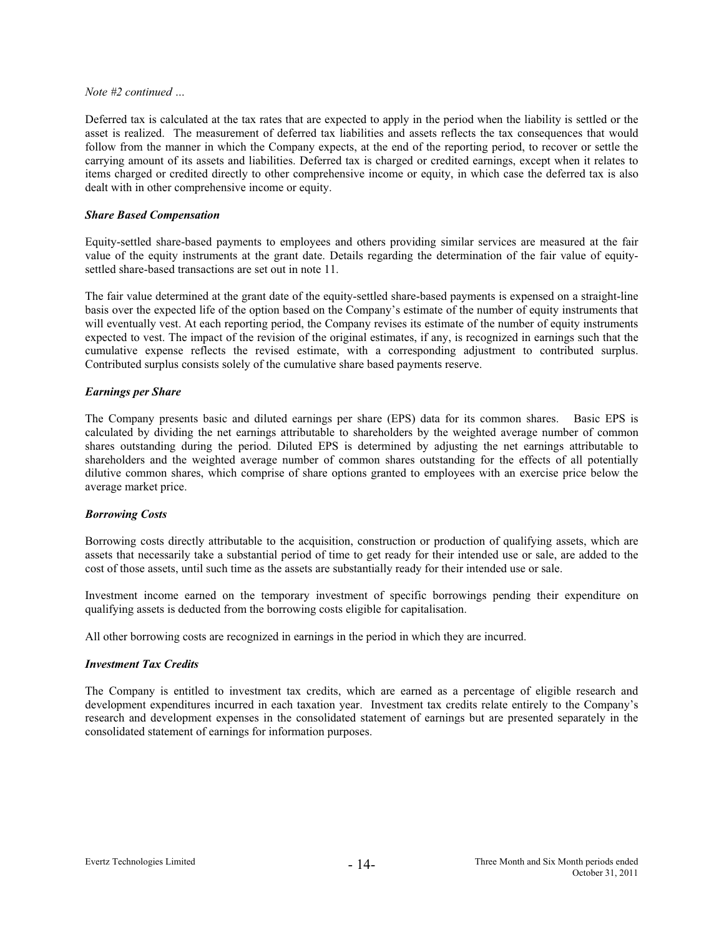Deferred tax is calculated at the tax rates that are expected to apply in the period when the liability is settled or the asset is realized. The measurement of deferred tax liabilities and assets reflects the tax consequences that would follow from the manner in which the Company expects, at the end of the reporting period, to recover or settle the carrying amount of its assets and liabilities. Deferred tax is charged or credited earnings, except when it relates to items charged or credited directly to other comprehensive income or equity, in which case the deferred tax is also dealt with in other comprehensive income or equity.

# *Share Based Compensation*

Equity-settled share-based payments to employees and others providing similar services are measured at the fair value of the equity instruments at the grant date. Details regarding the determination of the fair value of equitysettled share-based transactions are set out in note 11.

The fair value determined at the grant date of the equity-settled share-based payments is expensed on a straight-line basis over the expected life of the option based on the Company's estimate of the number of equity instruments that will eventually vest. At each reporting period, the Company revises its estimate of the number of equity instruments expected to vest. The impact of the revision of the original estimates, if any, is recognized in earnings such that the cumulative expense reflects the revised estimate, with a corresponding adjustment to contributed surplus. Contributed surplus consists solely of the cumulative share based payments reserve.

# *Earnings per Share*

The Company presents basic and diluted earnings per share (EPS) data for its common shares. Basic EPS is calculated by dividing the net earnings attributable to shareholders by the weighted average number of common shares outstanding during the period. Diluted EPS is determined by adjusting the net earnings attributable to shareholders and the weighted average number of common shares outstanding for the effects of all potentially dilutive common shares, which comprise of share options granted to employees with an exercise price below the average market price.

# *Borrowing Costs*

Borrowing costs directly attributable to the acquisition, construction or production of qualifying assets, which are assets that necessarily take a substantial period of time to get ready for their intended use or sale, are added to the cost of those assets, until such time as the assets are substantially ready for their intended use or sale.

Investment income earned on the temporary investment of specific borrowings pending their expenditure on qualifying assets is deducted from the borrowing costs eligible for capitalisation.

All other borrowing costs are recognized in earnings in the period in which they are incurred.

#### *Investment Tax Credits*

The Company is entitled to investment tax credits, which are earned as a percentage of eligible research and development expenditures incurred in each taxation year. Investment tax credits relate entirely to the Company's research and development expenses in the consolidated statement of earnings but are presented separately in the consolidated statement of earnings for information purposes.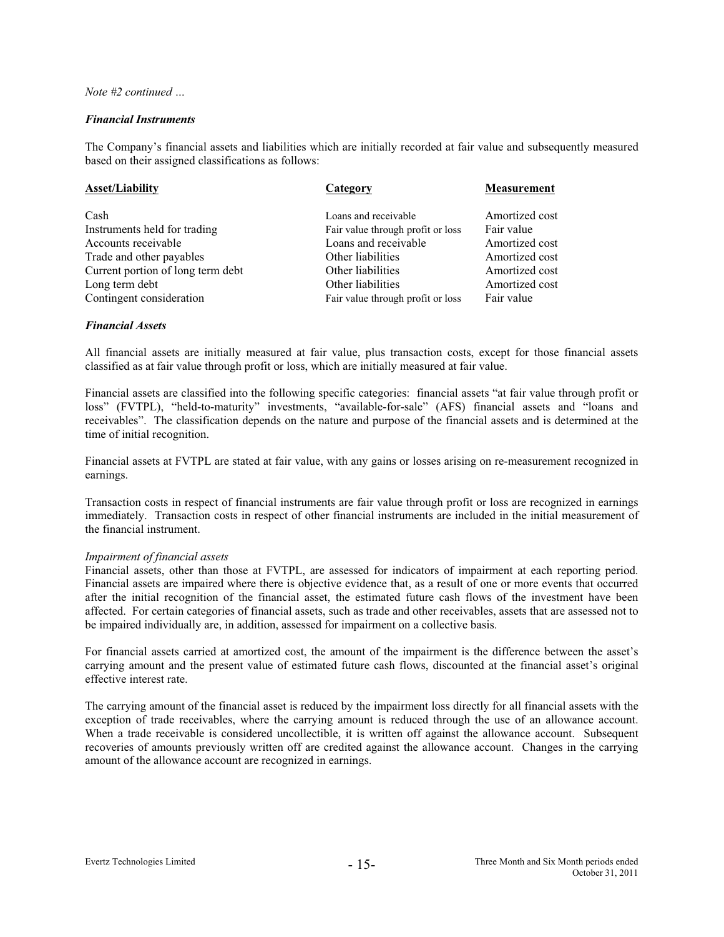# *Financial Instruments*

The Company's financial assets and liabilities which are initially recorded at fair value and subsequently measured based on their assigned classifications as follows:

| <b>Asset/Liability</b>            | Category                          | <b>Measurement</b> |
|-----------------------------------|-----------------------------------|--------------------|
|                                   |                                   |                    |
| Cash                              | Loans and receivable              | Amortized cost     |
| Instruments held for trading      | Fair value through profit or loss | Fair value         |
| Accounts receivable               | Loans and receivable              | Amortized cost     |
| Trade and other payables          | Other liabilities                 | Amortized cost     |
| Current portion of long term debt | Other liabilities                 | Amortized cost     |
| Long term debt                    | Other liabilities                 | Amortized cost     |
| Contingent consideration          | Fair value through profit or loss | Fair value         |

# *Financial Assets*

All financial assets are initially measured at fair value, plus transaction costs, except for those financial assets classified as at fair value through profit or loss, which are initially measured at fair value.

Financial assets are classified into the following specific categories: financial assets "at fair value through profit or loss" (FVTPL), "held-to-maturity" investments, "available-for-sale" (AFS) financial assets and "loans and receivables". The classification depends on the nature and purpose of the financial assets and is determined at the time of initial recognition.

Financial assets at FVTPL are stated at fair value, with any gains or losses arising on re-measurement recognized in earnings.

Transaction costs in respect of financial instruments are fair value through profit or loss are recognized in earnings immediately. Transaction costs in respect of other financial instruments are included in the initial measurement of the financial instrument.

#### *Impairment of financial assets*

Financial assets, other than those at FVTPL, are assessed for indicators of impairment at each reporting period. Financial assets are impaired where there is objective evidence that, as a result of one or more events that occurred after the initial recognition of the financial asset, the estimated future cash flows of the investment have been affected. For certain categories of financial assets, such as trade and other receivables, assets that are assessed not to be impaired individually are, in addition, assessed for impairment on a collective basis.

For financial assets carried at amortized cost, the amount of the impairment is the difference between the asset's carrying amount and the present value of estimated future cash flows, discounted at the financial asset's original effective interest rate.

The carrying amount of the financial asset is reduced by the impairment loss directly for all financial assets with the exception of trade receivables, where the carrying amount is reduced through the use of an allowance account. When a trade receivable is considered uncollectible, it is written off against the allowance account. Subsequent recoveries of amounts previously written off are credited against the allowance account. Changes in the carrying amount of the allowance account are recognized in earnings.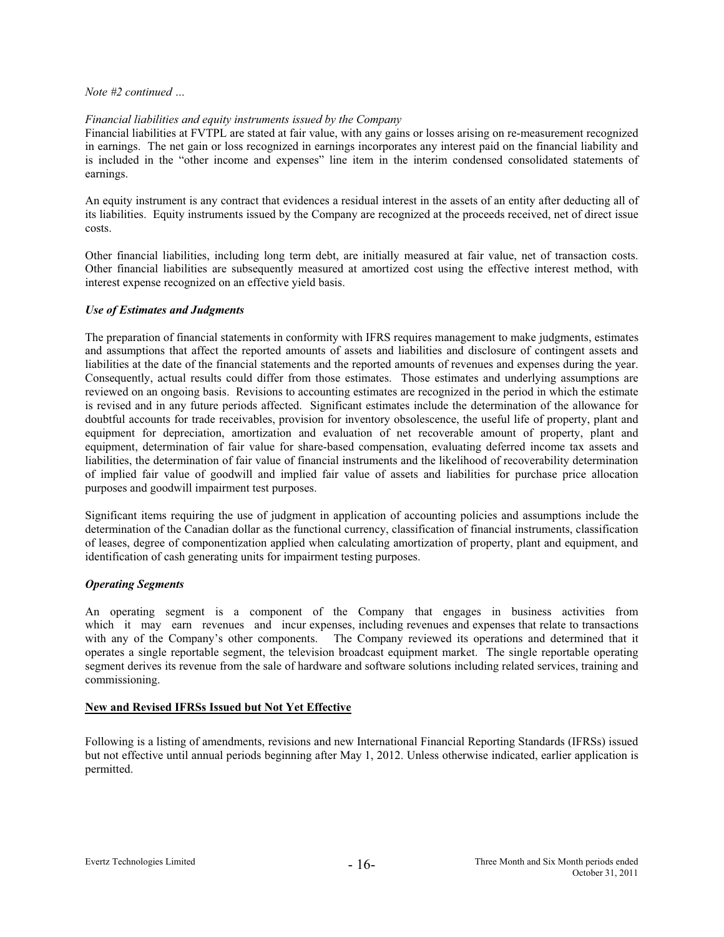# *Financial liabilities and equity instruments issued by the Company*

Financial liabilities at FVTPL are stated at fair value, with any gains or losses arising on re-measurement recognized in earnings. The net gain or loss recognized in earnings incorporates any interest paid on the financial liability and is included in the "other income and expenses" line item in the interim condensed consolidated statements of earnings.

An equity instrument is any contract that evidences a residual interest in the assets of an entity after deducting all of its liabilities. Equity instruments issued by the Company are recognized at the proceeds received, net of direct issue costs.

Other financial liabilities, including long term debt, are initially measured at fair value, net of transaction costs. Other financial liabilities are subsequently measured at amortized cost using the effective interest method, with interest expense recognized on an effective yield basis.

# *Use of Estimates and Judgments*

The preparation of financial statements in conformity with IFRS requires management to make judgments, estimates and assumptions that affect the reported amounts of assets and liabilities and disclosure of contingent assets and liabilities at the date of the financial statements and the reported amounts of revenues and expenses during the year. Consequently, actual results could differ from those estimates. Those estimates and underlying assumptions are reviewed on an ongoing basis. Revisions to accounting estimates are recognized in the period in which the estimate is revised and in any future periods affected. Significant estimates include the determination of the allowance for doubtful accounts for trade receivables, provision for inventory obsolescence, the useful life of property, plant and equipment for depreciation, amortization and evaluation of net recoverable amount of property, plant and equipment, determination of fair value for share-based compensation, evaluating deferred income tax assets and liabilities, the determination of fair value of financial instruments and the likelihood of recoverability determination of implied fair value of goodwill and implied fair value of assets and liabilities for purchase price allocation purposes and goodwill impairment test purposes.

Significant items requiring the use of judgment in application of accounting policies and assumptions include the determination of the Canadian dollar as the functional currency, classification of financial instruments, classification of leases, degree of componentization applied when calculating amortization of property, plant and equipment, and identification of cash generating units for impairment testing purposes.

# *Operating Segments*

An operating segment is a component of the Company that engages in business activities from which it may earn revenues and incur expenses, including revenues and expenses that relate to transactions with any of the Company's other components. The Company reviewed its operations and determined that it operates a single reportable segment, the television broadcast equipment market. The single reportable operating segment derives its revenue from the sale of hardware and software solutions including related services, training and commissioning.

# **New and Revised IFRSs Issued but Not Yet Effective**

Following is a listing of amendments, revisions and new International Financial Reporting Standards (IFRSs) issued but not effective until annual periods beginning after May 1, 2012. Unless otherwise indicated, earlier application is permitted.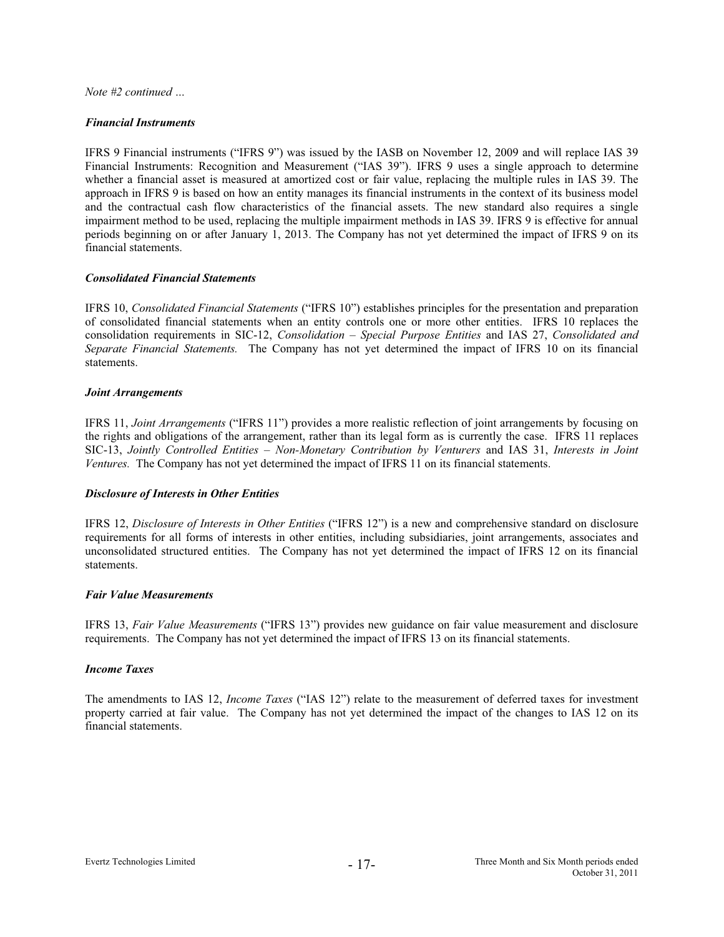# *Financial Instruments*

IFRS 9 Financial instruments ("IFRS 9") was issued by the IASB on November 12, 2009 and will replace IAS 39 Financial Instruments: Recognition and Measurement ("IAS 39"). IFRS 9 uses a single approach to determine whether a financial asset is measured at amortized cost or fair value, replacing the multiple rules in IAS 39. The approach in IFRS 9 is based on how an entity manages its financial instruments in the context of its business model and the contractual cash flow characteristics of the financial assets. The new standard also requires a single impairment method to be used, replacing the multiple impairment methods in IAS 39. IFRS 9 is effective for annual periods beginning on or after January 1, 2013. The Company has not yet determined the impact of IFRS 9 on its financial statements.

# *Consolidated Financial Statements*

IFRS 10, *Consolidated Financial Statements* ("IFRS 10") establishes principles for the presentation and preparation of consolidated financial statements when an entity controls one or more other entities. IFRS 10 replaces the consolidation requirements in SIC-12, *Consolidation – Special Purpose Entities* and IAS 27, *Consolidated and Separate Financial Statements.* The Company has not yet determined the impact of IFRS 10 on its financial statements.

# *Joint Arrangements*

IFRS 11, *Joint Arrangements* ("IFRS 11") provides a more realistic reflection of joint arrangements by focusing on the rights and obligations of the arrangement, rather than its legal form as is currently the case. IFRS 11 replaces SIC-13, *Jointly Controlled Entities – Non-Monetary Contribution by Venturers* and IAS 31, *Interests in Joint Ventures.* The Company has not yet determined the impact of IFRS 11 on its financial statements.

# *Disclosure of Interests in Other Entities*

IFRS 12, *Disclosure of Interests in Other Entities* ("IFRS 12") is a new and comprehensive standard on disclosure requirements for all forms of interests in other entities, including subsidiaries, joint arrangements, associates and unconsolidated structured entities. The Company has not yet determined the impact of IFRS 12 on its financial statements.

#### *Fair Value Measurements*

IFRS 13, *Fair Value Measurements* ("IFRS 13") provides new guidance on fair value measurement and disclosure requirements. The Company has not yet determined the impact of IFRS 13 on its financial statements.

#### *Income Taxes*

The amendments to IAS 12, *Income Taxes* ("IAS 12") relate to the measurement of deferred taxes for investment property carried at fair value. The Company has not yet determined the impact of the changes to IAS 12 on its financial statements.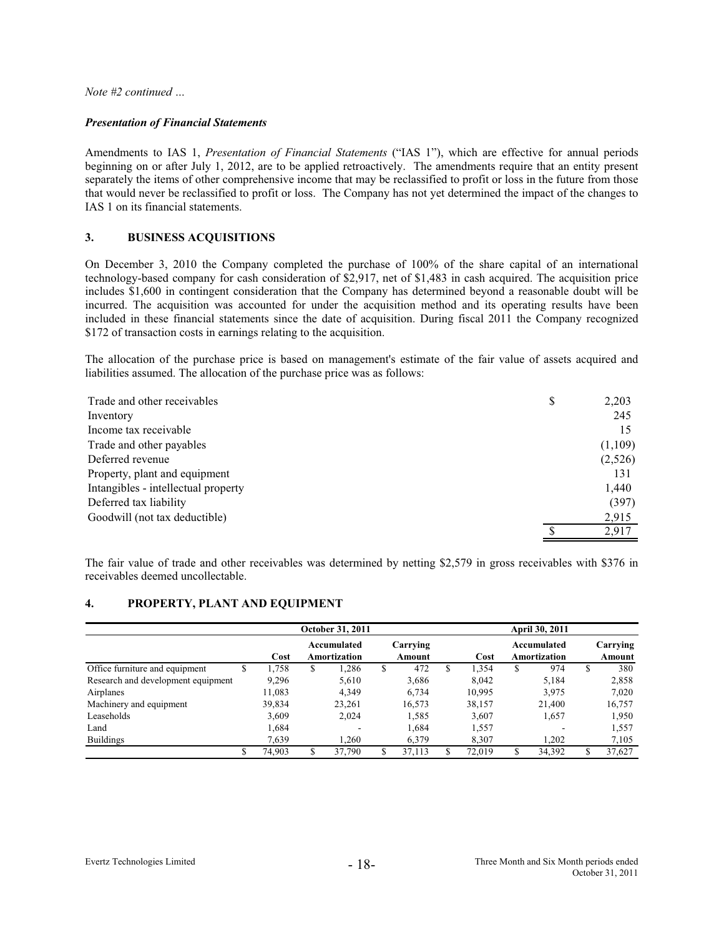#### *Presentation of Financial Statements*

Amendments to IAS 1, *Presentation of Financial Statements* ("IAS 1"), which are effective for annual periods beginning on or after July 1, 2012, are to be applied retroactively. The amendments require that an entity present separately the items of other comprehensive income that may be reclassified to profit or loss in the future from those that would never be reclassified to profit or loss. The Company has not yet determined the impact of the changes to IAS 1 on its financial statements.

# **3. BUSINESS ACQUISITIONS**

On December 3, 2010 the Company completed the purchase of 100% of the share capital of an international technology-based company for cash consideration of \$2,917, net of \$1,483 in cash acquired. The acquisition price includes \$1,600 in contingent consideration that the Company has determined beyond a reasonable doubt will be incurred. The acquisition was accounted for under the acquisition method and its operating results have been included in these financial statements since the date of acquisition. During fiscal 2011 the Company recognized \$172 of transaction costs in earnings relating to the acquisition.

The allocation of the purchase price is based on management's estimate of the fair value of assets acquired and liabilities assumed. The allocation of the purchase price was as follows:

| Trade and other receivables         | D | 2,203   |
|-------------------------------------|---|---------|
| Inventory                           |   | 245     |
| Income tax receivable               |   | 15      |
| Trade and other payables            |   | (1,109) |
| Deferred revenue                    |   | (2,526) |
| Property, plant and equipment       |   | 131     |
| Intangibles - intellectual property |   | 1,440   |
| Deferred tax liability              |   | (397)   |
| Goodwill (not tax deductible)       |   | 2,915   |
|                                     |   | 2,917   |

The fair value of trade and other receivables was determined by netting \$2,579 in gross receivables with \$376 in receivables deemed uncollectable.

# **4. PROPERTY, PLANT AND EQUIPMENT**

|                                    |   |        | <b>October 31, 2011</b>     |    |                    |   |        |    | <b>April 30, 2011</b>       |                    |
|------------------------------------|---|--------|-----------------------------|----|--------------------|---|--------|----|-----------------------------|--------------------|
|                                    |   | Cost   | Accumulated<br>Amortization |    | Carrying<br>Amount |   | Cost   |    | Accumulated<br>Amortization | Carrying<br>Amount |
| Office furniture and equipment     | S | 1.758  | \$<br>.286                  | S  | 472                | S | 1.354  | S  | 974                         | \$<br>380          |
| Research and development equipment |   | 9.296  | 5.610                       |    | 3,686              |   | 8.042  |    | 5.184                       | 2,858              |
| Airplanes                          |   | 11,083 | 4.349                       |    | 6,734              |   | 10,995 |    | 3,975                       | 7,020              |
| Machinery and equipment            |   | 39,834 | 23,261                      |    | 16.573             |   | 38,157 |    | 21.400                      | 16,757             |
| Leaseholds                         |   | 3.609  | 2,024                       |    | 1,585              |   | 3,607  |    | 1,657                       | 1,950              |
| Land                               |   | 1,684  |                             |    | 1,684              |   | 1,557  |    |                             | 1,557              |
| <b>Buildings</b>                   |   | 7.639  | .260                        |    | 6,379              |   | 8.307  |    | 1.202                       | 7,105              |
|                                    |   | 74.903 | 37.790                      | \$ | 37.113             |   | 72.019 | \$ | 34,392                      | \$<br>37,627       |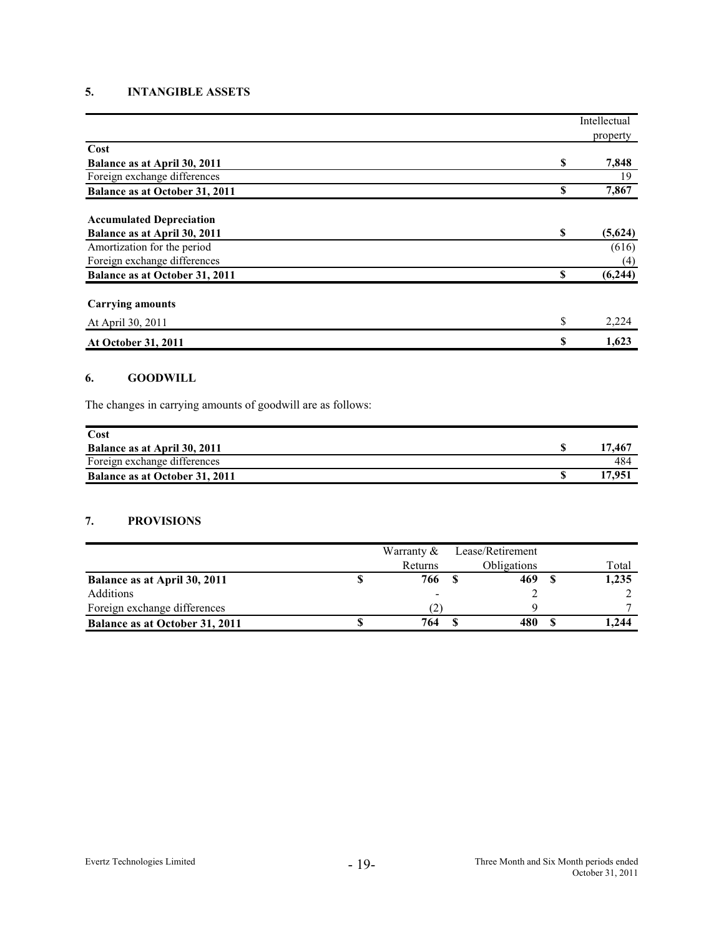# **5. INTANGIBLE ASSETS**

|                                 |    | Intellectual |
|---------------------------------|----|--------------|
|                                 |    | property     |
| Cost                            |    |              |
| Balance as at April 30, 2011    | \$ | 7,848        |
| Foreign exchange differences    |    | 19           |
| Balance as at October 31, 2011  | \$ | 7,867        |
| <b>Accumulated Depreciation</b> |    |              |
| Balance as at April 30, 2011    | \$ | (5,624)      |
| Amortization for the period     |    | (616)        |
| Foreign exchange differences    |    | (4)          |
| Balance as at October 31, 2011  | \$ | (6,244)      |
| <b>Carrying amounts</b>         |    |              |
| At April 30, 2011               | S  | 2,224        |
| At October 31, 2011             | \$ | 1,623        |

# **6. GOODWILL**

The changes in carrying amounts of goodwill are as follows:

| Cost                           |      |
|--------------------------------|------|
| Balance as at April 30, 2011   | 7.46 |
| Foreign exchange differences   | 484  |
| Balance as at October 31, 2011 |      |

# **7. PROVISIONS**

|                                | Warranty $&$ | Lease/Retirement   |       |
|--------------------------------|--------------|--------------------|-------|
|                                | Returns      | <b>Obligations</b> | Total |
| Balance as at April 30, 2011   | 766          | 469                | 1,235 |
| Additions                      | $\,$         |                    |       |
| Foreign exchange differences   |              |                    |       |
| Balance as at October 31, 2011 | 764          | 480                | .244  |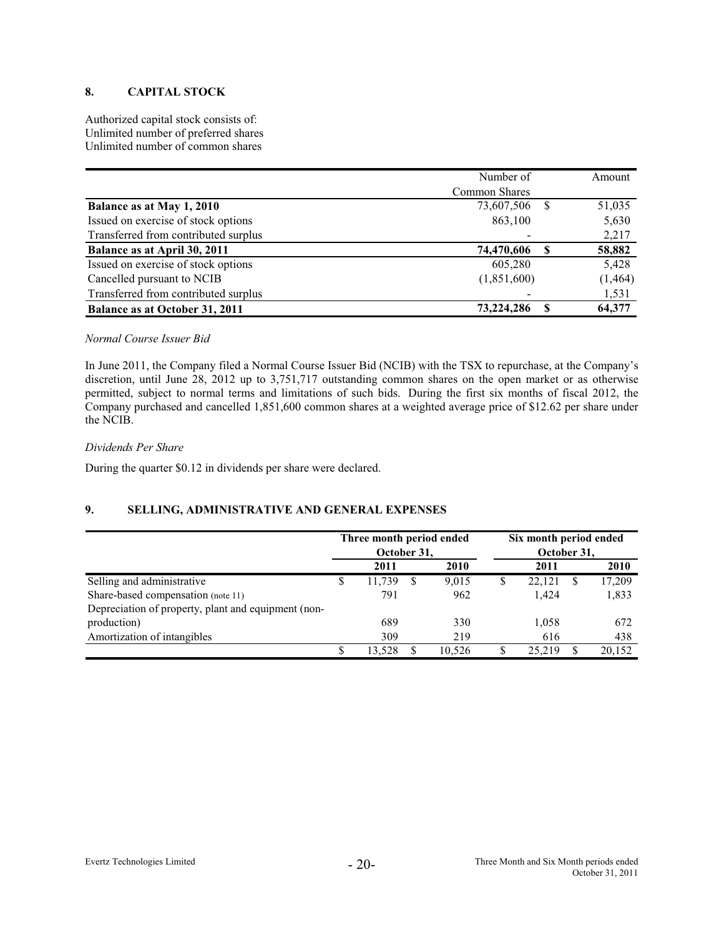# **8. CAPITAL STOCK**

Authorized capital stock consists of: Unlimited number of preferred shares Unlimited number of common shares

|                                      | Number of     |    | Amount   |
|--------------------------------------|---------------|----|----------|
|                                      | Common Shares |    |          |
| Balance as at May 1, 2010            | 73,607,506    | -8 | 51,035   |
| Issued on exercise of stock options  | 863,100       |    | 5,630    |
| Transferred from contributed surplus |               |    | 2,217    |
| Balance as at April 30, 2011         | 74,470,606    |    | 58,882   |
| Issued on exercise of stock options  | 605,280       |    | 5,428    |
| Cancelled pursuant to NCIB           | (1,851,600)   |    | (1, 464) |
| Transferred from contributed surplus |               |    | 1,531    |
| Balance as at October 31, 2011       | 73,224,286    | S  | 64,377   |

# *Normal Course Issuer Bid*

In June 2011, the Company filed a Normal Course Issuer Bid (NCIB) with the TSX to repurchase, at the Company's discretion, until June 28, 2012 up to 3,751,717 outstanding common shares on the open market or as otherwise permitted, subject to normal terms and limitations of such bids. During the first six months of fiscal 2012, the Company purchased and cancelled 1,851,600 common shares at a weighted average price of \$12.62 per share under the NCIB.

#### *Dividends Per Share*

During the quarter \$0.12 in dividends per share were declared.

# **9. SELLING, ADMINISTRATIVE AND GENERAL EXPENSES**

|                                                     | Three month period ended<br>October 31, |        |   |        | Six month period ended<br>October 31, |        |   |        |
|-----------------------------------------------------|-----------------------------------------|--------|---|--------|---------------------------------------|--------|---|--------|
|                                                     |                                         | 2011   |   | 2010   |                                       | 2011   |   | 2010   |
| Selling and administrative                          | S                                       | 11,739 | S | 9.015  | \$                                    | 22.121 | S | 17,209 |
| Share-based compensation (note 11)                  |                                         | 791    |   | 962    |                                       | 1.424  |   | 1,833  |
| Depreciation of property, plant and equipment (non- |                                         |        |   |        |                                       |        |   |        |
| production)                                         |                                         | 689    |   | 330    |                                       | 1,058  |   | 672    |
| Amortization of intangibles                         |                                         | 309    |   | 219    |                                       | 616    |   | 438    |
|                                                     | S                                       | 13.528 |   | 10.526 | S                                     | 25.219 | S | 20,152 |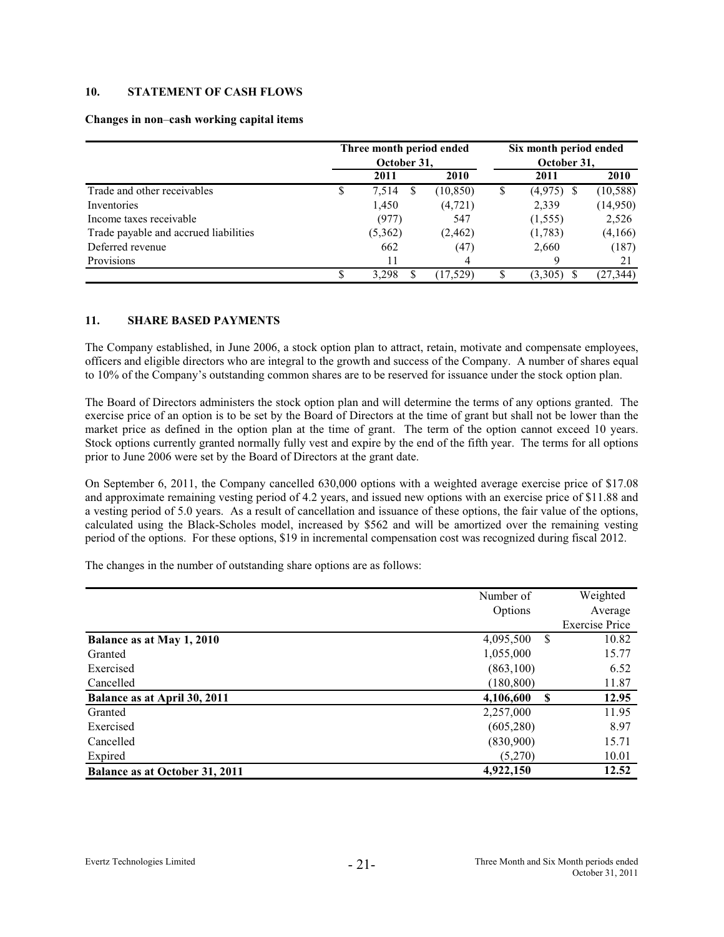# **10. STATEMENT OF CASH FLOWS**

#### **Changes in non**–**cash working capital items**

|                                       |    | Three month period ended<br>October 31, |   |           | Six month period ended<br>October 31, |          |           |  |
|---------------------------------------|----|-----------------------------------------|---|-----------|---------------------------------------|----------|-----------|--|
|                                       |    | 2011                                    |   | 2010      |                                       | 2011     | 2010      |  |
| Trade and other receivables           | \$ | 7,514                                   | S | (10, 850) | \$                                    | (4,975)  | (10, 588) |  |
| Inventories                           |    | 1,450                                   |   | (4, 721)  |                                       | 2,339    | (14,950)  |  |
| Income taxes receivable               |    | (977)                                   |   | 547       |                                       | (1, 555) | 2,526     |  |
| Trade payable and accrued liabilities |    | (5,362)                                 |   | (2, 462)  |                                       | (1,783)  | (4,166)   |  |
| Deferred revenue                      |    | 662                                     |   | (47)      |                                       | 2,660    | (187)     |  |
| Provisions                            |    | 11                                      |   | 4         |                                       | Q        | 21        |  |
|                                       | S  | 3.298                                   |   | (17.529)  |                                       | (3,305)  | (27, 344) |  |

# **11. SHARE BASED PAYMENTS**

The Company established, in June 2006, a stock option plan to attract, retain, motivate and compensate employees, officers and eligible directors who are integral to the growth and success of the Company. A number of shares equal to 10% of the Company's outstanding common shares are to be reserved for issuance under the stock option plan.

The Board of Directors administers the stock option plan and will determine the terms of any options granted. The exercise price of an option is to be set by the Board of Directors at the time of grant but shall not be lower than the market price as defined in the option plan at the time of grant. The term of the option cannot exceed 10 years. Stock options currently granted normally fully vest and expire by the end of the fifth year. The terms for all options prior to June 2006 were set by the Board of Directors at the grant date.

On September 6, 2011, the Company cancelled 630,000 options with a weighted average exercise price of \$17.08 and approximate remaining vesting period of 4.2 years, and issued new options with an exercise price of \$11.88 and a vesting period of 5.0 years. As a result of cancellation and issuance of these options, the fair value of the options, calculated using the Black-Scholes model, increased by \$562 and will be amortized over the remaining vesting period of the options. For these options, \$19 in incremental compensation cost was recognized during fiscal 2012.

The changes in the number of outstanding share options are as follows:

|                                       | Number of             | Weighted              |
|---------------------------------------|-----------------------|-----------------------|
|                                       | Options               | Average               |
|                                       |                       | <b>Exercise Price</b> |
| Balance as at May 1, 2010             | 4,095,500<br>-S       | 10.82                 |
| Granted                               | 1,055,000             | 15.77                 |
| Exercised                             | (863,100)             | 6.52                  |
| Cancelled                             | (180, 800)            | 11.87                 |
| Balance as at April 30, 2011          | 4,106,600<br><b>S</b> | 12.95                 |
| Granted                               | 2,257,000             | 11.95                 |
| Exercised                             | (605, 280)            | 8.97                  |
| Cancelled                             | (830,900)             | 15.71                 |
| Expired                               | (5,270)               | 10.01                 |
| <b>Balance as at October 31, 2011</b> | 4,922,150             | 12.52                 |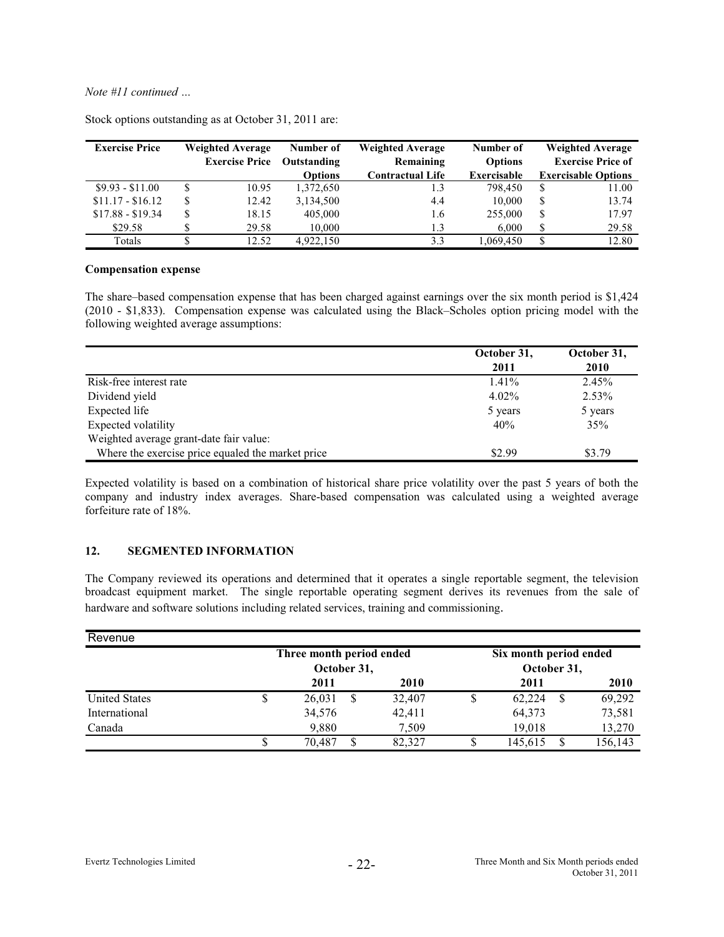| <b>Exercise Price</b> |    | <b>Weighted Average</b> | Number of      | <b>Weighted Average</b> |             |    | <b>Weighted Average</b>    |
|-----------------------|----|-------------------------|----------------|-------------------------|-------------|----|----------------------------|
|                       |    | <b>Exercise Price</b>   | Outstanding    | Remaining               |             |    | <b>Exercise Price of</b>   |
|                       |    |                         | <b>Options</b> | <b>Contractual Life</b> | Exercisable |    | <b>Exercisable Options</b> |
| $$9.93 - $11.00$      |    | 10.95                   | 1,372,650      |                         | 798,450     | S  | 11.00                      |
| $$11.17 - $16.12$     | ٠D | 12.42                   | 3,134,500      | 4.4                     | 10.000      | \$ | 13.74                      |
| $$17.88 - $19.34$     | J  | 18.15                   | 405,000        | 1.6                     | 255,000     | \$ | 17.97                      |
| \$29.58               |    | 29.58                   | 10,000         | 1.3                     | 6.000       | \$ | 29.58                      |
| Totals                |    | 12.52                   | 4.922.150      | 3.3                     | 1.069.450   | S  | 12.80                      |

Stock options outstanding as at October 31, 2011 are:

#### **Compensation expense**

The share–based compensation expense that has been charged against earnings over the six month period is \$1,424 (2010 - \$1,833). Compensation expense was calculated using the Black–Scholes option pricing model with the following weighted average assumptions:

|                                                   | October 31, | October 31, |
|---------------------------------------------------|-------------|-------------|
|                                                   | 2011        | 2010        |
| Risk-free interest rate                           | $1.41\%$    | 2.45%       |
| Dividend yield                                    | $4.02\%$    | 2.53%       |
| Expected life                                     | 5 years     | 5 years     |
| Expected volatility                               | 40%         | 35%         |
| Weighted average grant-date fair value:           |             |             |
| Where the exercise price equaled the market price | \$2.99      | \$3.79      |

Expected volatility is based on a combination of historical share price volatility over the past 5 years of both the company and industry index averages. Share-based compensation was calculated using a weighted average forfeiture rate of 18%.

## **12. SEGMENTED INFORMATION**

The Company reviewed its operations and determined that it operates a single reportable segment, the television broadcast equipment market. The single reportable operating segment derives its revenues from the sale of hardware and software solutions including related services, training and commissioning.

| Revenue              |    |                          |   |        |                        |         |
|----------------------|----|--------------------------|---|--------|------------------------|---------|
|                      |    | Three month period ended |   |        | Six month period ended |         |
|                      |    | October 31,              |   |        | October 31,            |         |
|                      |    | 2011                     |   | 2010   | 2011                   | 2010    |
| <b>United States</b> | J. | 26,031                   | S | 32,407 | 62,224                 | 69,292  |
| International        |    | 34,576                   |   | 42,411 | 64,373                 | 73,581  |
| Canada               |    | 9,880                    |   | 7.509  | 19,018                 | 13,270  |
|                      |    | 70.487                   |   | 82.327 | 145.615                | 156.143 |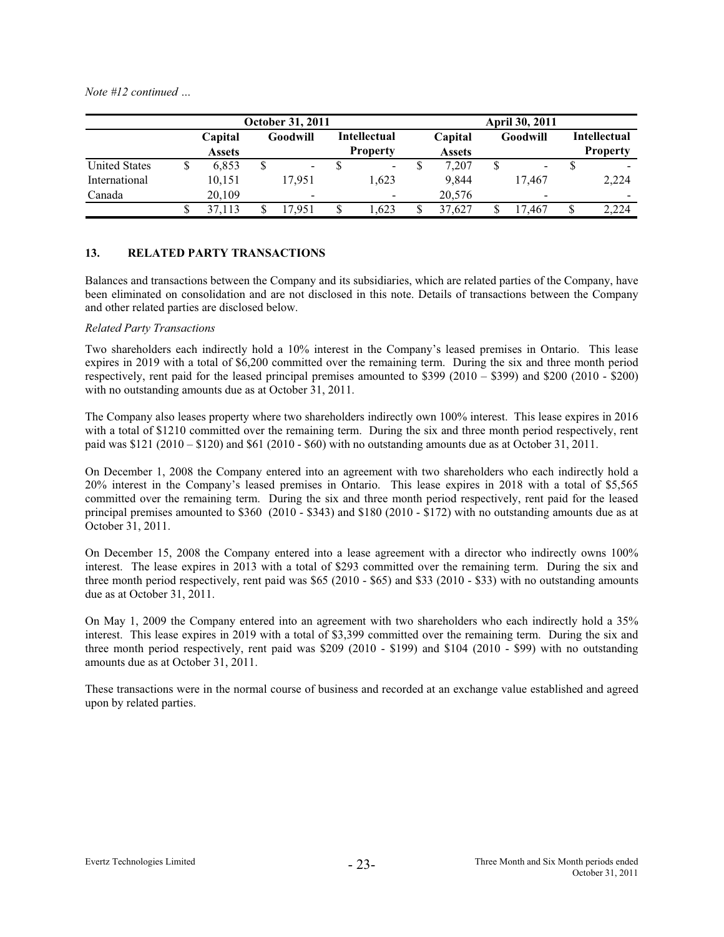|                      | <b>October 31, 2011</b> |                          |    |                |    |                                 |  | <b>April 30, 2011</b>    |  |                          |    |                                 |
|----------------------|-------------------------|--------------------------|----|----------------|----|---------------------------------|--|--------------------------|--|--------------------------|----|---------------------------------|
|                      |                         | Capital<br><b>Assets</b> |    | Goodwill       |    | Intellectual<br><b>Property</b> |  | Capital<br><b>Assets</b> |  | Goodwill                 |    | Intellectual<br><b>Property</b> |
| <b>United States</b> |                         | 6.853                    | \$ | $\blacksquare$ |    | $\sim$                          |  | 7.207                    |  | $\overline{\phantom{a}}$ |    |                                 |
| International        |                         | 10.151                   |    | 17.951         |    | 1.623                           |  | 9.844                    |  | 17.467                   |    | 2,224                           |
| Canada               |                         | 20,109                   |    |                |    |                                 |  | 20,576                   |  | $\,$                     |    |                                 |
|                      |                         | 37.113                   |    | 17.951         | \$ | 1.623                           |  | 37.627                   |  | 17.467                   | \$ | 2.224                           |

# **13. RELATED PARTY TRANSACTIONS**

Balances and transactions between the Company and its subsidiaries, which are related parties of the Company, have been eliminated on consolidation and are not disclosed in this note. Details of transactions between the Company and other related parties are disclosed below.

# *Related Party Transactions*

Two shareholders each indirectly hold a 10% interest in the Company's leased premises in Ontario. This lease expires in 2019 with a total of \$6,200 committed over the remaining term. During the six and three month period respectively, rent paid for the leased principal premises amounted to \$399 (2010 – \$399) and \$200 (2010 - \$200) with no outstanding amounts due as at October 31, 2011.

The Company also leases property where two shareholders indirectly own 100% interest. This lease expires in 2016 with a total of \$1210 committed over the remaining term. During the six and three month period respectively, rent paid was  $$121 (2010 - $120)$  and  $$61 (2010 - $60)$  with no outstanding amounts due as at October 31, 2011.

On December 1, 2008 the Company entered into an agreement with two shareholders who each indirectly hold a 20% interest in the Company's leased premises in Ontario. This lease expires in 2018 with a total of \$5,565 committed over the remaining term. During the six and three month period respectively, rent paid for the leased principal premises amounted to \$360 (2010 - \$343) and \$180 (2010 - \$172) with no outstanding amounts due as at October 31, 2011.

On December 15, 2008 the Company entered into a lease agreement with a director who indirectly owns 100% interest. The lease expires in 2013 with a total of \$293 committed over the remaining term. During the six and three month period respectively, rent paid was \$65 (2010 - \$65) and \$33 (2010 - \$33) with no outstanding amounts due as at October 31, 2011.

On May 1, 2009 the Company entered into an agreement with two shareholders who each indirectly hold a 35% interest. This lease expires in 2019 with a total of \$3,399 committed over the remaining term. During the six and three month period respectively, rent paid was \$209 (2010 - \$199) and \$104 (2010 - \$99) with no outstanding amounts due as at October 31, 2011.

These transactions were in the normal course of business and recorded at an exchange value established and agreed upon by related parties.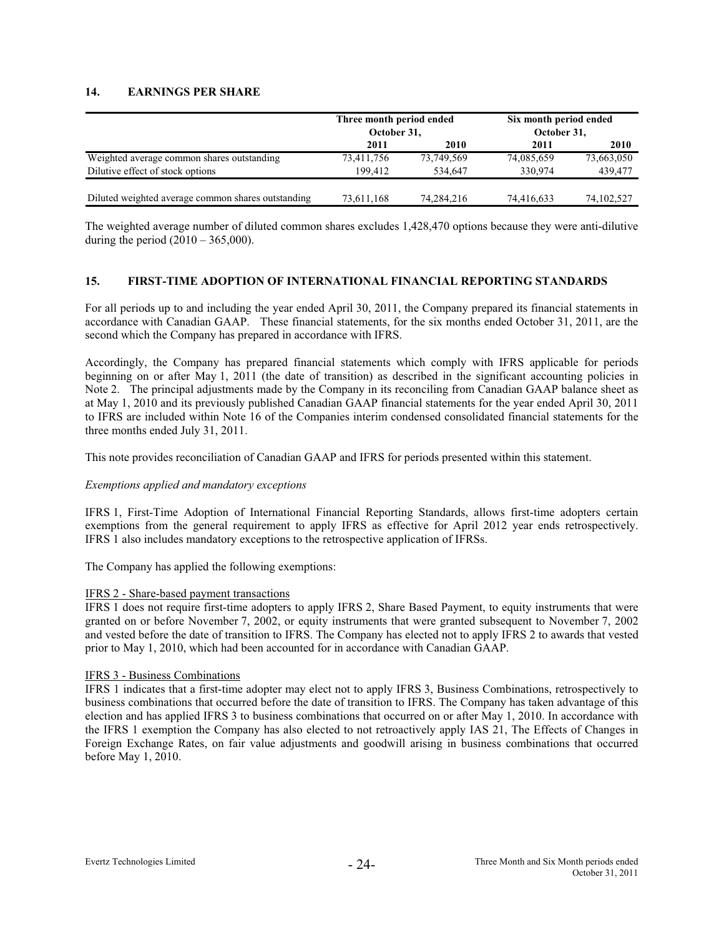# **14. EARNINGS PER SHARE**

|                                                    | Three month period ended<br>October 31, |            | Six month period ended<br>October 31, |              |  |  |
|----------------------------------------------------|-----------------------------------------|------------|---------------------------------------|--------------|--|--|
|                                                    | 2011                                    | 2010       | 2011                                  | 2010         |  |  |
| Weighted average common shares outstanding         | 73,411,756                              | 73,749,569 | 74,085,659                            | 73,663,050   |  |  |
| Dilutive effect of stock options                   | 199.412                                 | 534.647    | 330,974                               | 439,477      |  |  |
| Diluted weighted average common shares outstanding | 73,611,168                              | 74.284.216 | 74.416.633                            | 74, 102, 527 |  |  |

The weighted average number of diluted common shares excludes 1,428,470 options because they were anti-dilutive during the period  $(2010 - 365,000)$ .

# **15. FIRST-TIME ADOPTION OF INTERNATIONAL FINANCIAL REPORTING STANDARDS**

For all periods up to and including the year ended April 30, 2011, the Company prepared its financial statements in accordance with Canadian GAAP. These financial statements, for the six months ended October 31, 2011, are the second which the Company has prepared in accordance with IFRS.

Accordingly, the Company has prepared financial statements which comply with IFRS applicable for periods beginning on or after May 1, 2011 (the date of transition) as described in the significant accounting policies in Note 2. The principal adjustments made by the Company in its reconciling from Canadian GAAP balance sheet as at May 1, 2010 and its previously published Canadian GAAP financial statements for the year ended April 30, 2011 to IFRS are included within Note 16 of the Companies interim condensed consolidated financial statements for the three months ended July 31, 2011.

This note provides reconciliation of Canadian GAAP and IFRS for periods presented within this statement.

#### *Exemptions applied and mandatory exceptions*

IFRS 1, First-Time Adoption of International Financial Reporting Standards, allows first-time adopters certain exemptions from the general requirement to apply IFRS as effective for April 2012 year ends retrospectively. IFRS 1 also includes mandatory exceptions to the retrospective application of IFRSs.

The Company has applied the following exemptions:

### IFRS 2 - Share-based payment transactions

IFRS 1 does not require first-time adopters to apply IFRS 2, Share Based Payment, to equity instruments that were granted on or before November 7, 2002, or equity instruments that were granted subsequent to November 7, 2002 and vested before the date of transition to IFRS. The Company has elected not to apply IFRS 2 to awards that vested prior to May 1, 2010, which had been accounted for in accordance with Canadian GAAP.

# IFRS 3 - Business Combinations

IFRS 1 indicates that a first-time adopter may elect not to apply IFRS 3, Business Combinations, retrospectively to business combinations that occurred before the date of transition to IFRS. The Company has taken advantage of this election and has applied IFRS 3 to business combinations that occurred on or after May 1, 2010. In accordance with the IFRS 1 exemption the Company has also elected to not retroactively apply IAS 21, The Effects of Changes in Foreign Exchange Rates, on fair value adjustments and goodwill arising in business combinations that occurred before May 1, 2010.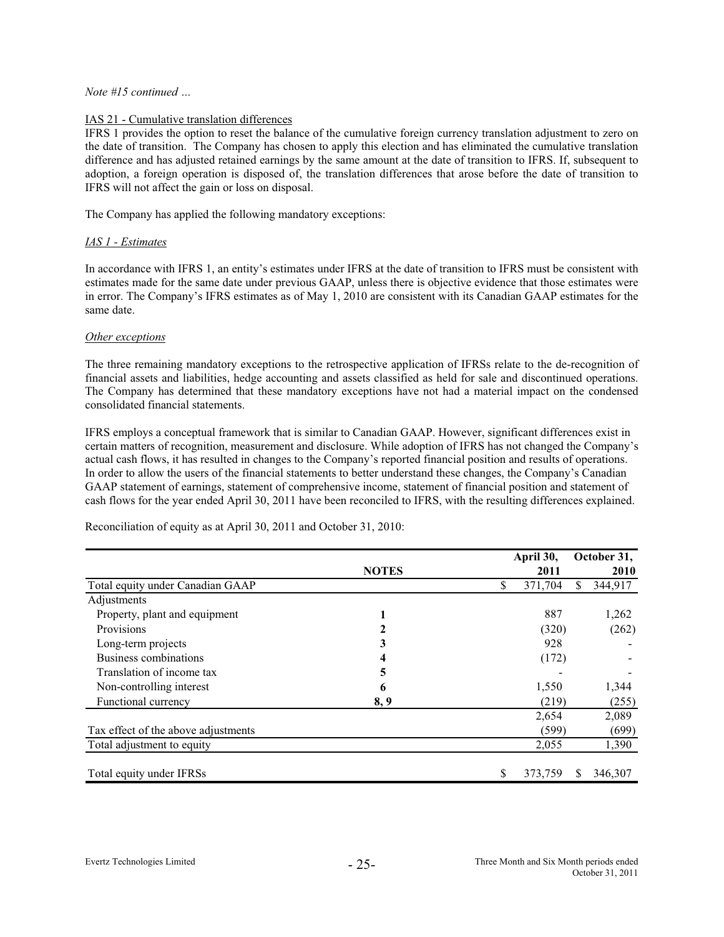# IAS 21 - Cumulative translation differences

IFRS 1 provides the option to reset the balance of the cumulative foreign currency translation adjustment to zero on the date of transition. The Company has chosen to apply this election and has eliminated the cumulative translation difference and has adjusted retained earnings by the same amount at the date of transition to IFRS. If, subsequent to adoption, a foreign operation is disposed of, the translation differences that arose before the date of transition to IFRS will not affect the gain or loss on disposal.

The Company has applied the following mandatory exceptions:

# *IAS 1 - Estimates*

In accordance with IFRS 1, an entity's estimates under IFRS at the date of transition to IFRS must be consistent with estimates made for the same date under previous GAAP, unless there is objective evidence that those estimates were in error. The Company's IFRS estimates as of May 1, 2010 are consistent with its Canadian GAAP estimates for the same date.

#### *Other exceptions*

The three remaining mandatory exceptions to the retrospective application of IFRSs relate to the de-recognition of financial assets and liabilities, hedge accounting and assets classified as held for sale and discontinued operations. The Company has determined that these mandatory exceptions have not had a material impact on the condensed consolidated financial statements.

IFRS employs a conceptual framework that is similar to Canadian GAAP. However, significant differences exist in certain matters of recognition, measurement and disclosure. While adoption of IFRS has not changed the Company's actual cash flows, it has resulted in changes to the Company's reported financial position and results of operations. In order to allow the users of the financial statements to better understand these changes, the Company's Canadian GAAP statement of earnings, statement of comprehensive income, statement of financial position and statement of cash flows for the year ended April 30, 2011 have been reconciled to IFRS, with the resulting differences explained.

|                                     |              | April 30,     |     | October 31, |
|-------------------------------------|--------------|---------------|-----|-------------|
|                                     | <b>NOTES</b> | 2011          |     | 2010        |
| Total equity under Canadian GAAP    |              | \$<br>371,704 | \$. | 344,917     |
| Adjustments                         |              |               |     |             |
| Property, plant and equipment       |              | 887           |     | 1,262       |
| Provisions                          |              | (320)         |     | (262)       |
| Long-term projects                  | 3            | 928           |     |             |
| Business combinations               |              | (172)         |     |             |
| Translation of income tax           | 5            |               |     |             |
| Non-controlling interest            | 6            | 1,550         |     | 1,344       |
| Functional currency                 | 8, 9         | (219)         |     | (255)       |
|                                     |              | 2,654         |     | 2,089       |
| Tax effect of the above adjustments |              | (599)         |     | (699)       |
| Total adjustment to equity          |              | 2,055         |     | 1,390       |
| Total equity under IFRSs            |              | \$<br>373,759 | S   | 346,307     |

Reconciliation of equity as at April 30, 2011 and October 31, 2010: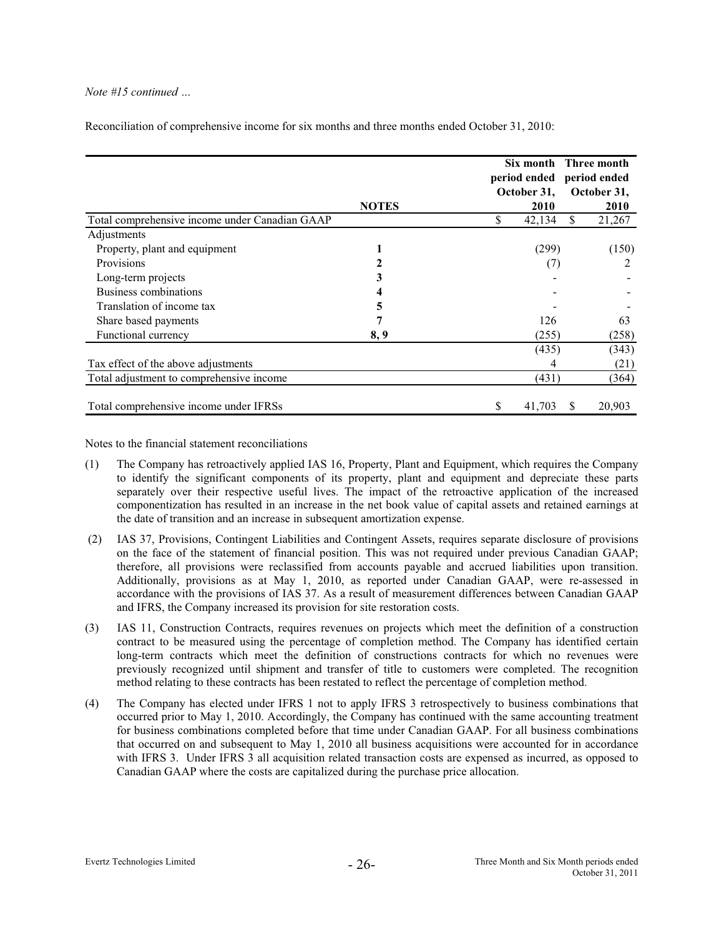|                                                |              | October 31,  | Six month Three month<br>period ended period ended<br>October 31, |  |
|------------------------------------------------|--------------|--------------|-------------------------------------------------------------------|--|
|                                                | <b>NOTES</b> | 2010         | <b>2010</b>                                                       |  |
| Total comprehensive income under Canadian GAAP |              | \$<br>42,134 | S.<br>21,267                                                      |  |
| Adjustments                                    |              |              |                                                                   |  |
| Property, plant and equipment                  |              | (299)        | (150)                                                             |  |
| Provisions                                     |              | (7)          |                                                                   |  |
| Long-term projects                             |              |              |                                                                   |  |
| <b>Business combinations</b>                   |              |              |                                                                   |  |
| Translation of income tax                      | 5            |              |                                                                   |  |
| Share based payments                           |              | 126          | 63                                                                |  |
| Functional currency                            | 8, 9         | (255)        | (258)                                                             |  |
|                                                |              | (435)        | (343)                                                             |  |
| Tax effect of the above adjustments            |              | 4            | (21)                                                              |  |
| Total adjustment to comprehensive income       |              | (431)        | (364)                                                             |  |
| Total comprehensive income under IFRSs         |              | S<br>41,703  | 20,903<br>S                                                       |  |

Reconciliation of comprehensive income for six months and three months ended October 31, 2010:

Notes to the financial statement reconciliations

- (1) has retroactively applied IAS 16, Property, Plant and Equipment, which requires the Company The Company to identify the significant components of its property, plant and equipment and depreciate these parts separately over their respective useful lives. The impact of the retroactive application of the increased componentization has resulted in an increase in the net book value of capital assets and retained earnings at the date of transition and an increase in subsequent amortization expense.
- (2) IAS 37, Provisions, Contingent Liabilities and Contingent Assets, requires separate disclosure of provisions on the face of the statement of financial position. This was not required under previous Canadian GAAP; therefore, all provisions were reclassified from accounts payable and accrued liabilities upon transition. Additionally, provisions as at May 1, 2010, as reported under Canadian GAAP, were re-assessed in accordance wi th the provisions of IAS 37. As a result of measurement differences between Canadian GAAP and IFRS, the Company increased its provision for site restoration costs.
- (3) IAS 11, Const ruction Contracts, requires revenues on projects which meet the definition of a construction contract to be measured using the percentage of completion method. The Company has identified certain long-term contracts which meet the definition of constructions contracts for which no revenues were previously rec ognized until shipment and transfer of title to customers were completed. The recognition method relatin g to these contracts has been restated to reflect the percentage of completion method.
- (4) The Company has elected under IFRS 1 not to apply IFRS 3 retrospectively to business combinations that occurred prior to May 1, 2010. Accordingly, the Company has continued with the same accounting treatment for business combinations completed before that time under Canadian GAAP. For all business combinations with IFRS 3. Under IFRS 3 all acquisition related transaction costs are expensed as incurred, as opposed to Canadian GAA P where the costs are capitalized during the purchase price allocation. that occurred on and subsequent to May 1, 2010 all business acquisitions were accounted for in accordance